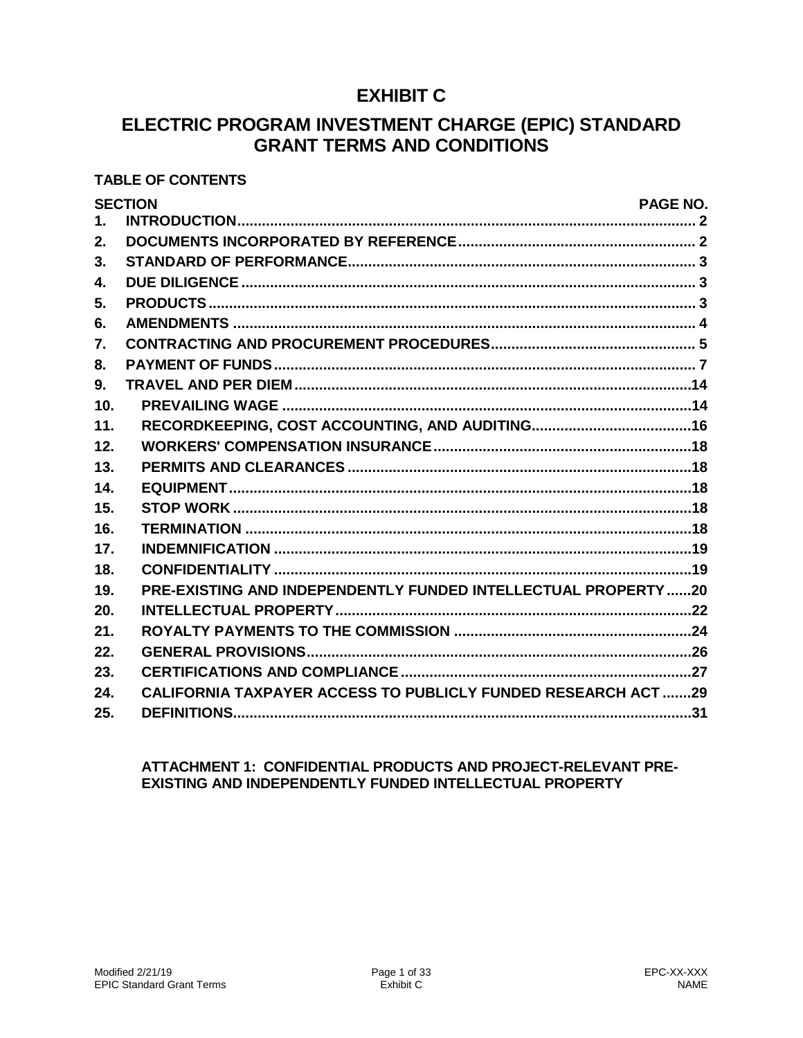# **EXHIBIT C**

# ELECTRIC PROGRAM INVESTMENT CHARGE (EPIC) STANDARD **GRANT TERMS AND CONDITIONS**

# **TABLE OF CONTENTS**

|               | <b>SECTION</b><br>PAGE NO.                                           |
|---------------|----------------------------------------------------------------------|
| $\mathbf 1$ . |                                                                      |
| 2.            |                                                                      |
| 3.            |                                                                      |
| $\mathbf{4}$  |                                                                      |
| 5.            |                                                                      |
| 6.            |                                                                      |
| 7.            |                                                                      |
| 8.            |                                                                      |
| 9.            |                                                                      |
| 10.           |                                                                      |
| 11.           |                                                                      |
| 12.           |                                                                      |
| 13.           |                                                                      |
| 14.           |                                                                      |
| 15.           |                                                                      |
| 16.           |                                                                      |
| 17.           |                                                                      |
| 18.           |                                                                      |
| 19.           | PRE-EXISTING AND INDEPENDENTLY FUNDED INTELLECTUAL PROPERTY20        |
| 20.           |                                                                      |
| 21.           |                                                                      |
| 22.           |                                                                      |
| 23.           |                                                                      |
| 24.           | <b>CALIFORNIA TAXPAYER ACCESS TO PUBLICLY FUNDED RESEARCH ACT 29</b> |
| 25.           |                                                                      |

## ATTACHMENT 1: CONFIDENTIAL PRODUCTS AND PROJECT-RELEVANT PRE-EXISTING AND INDEPENDENTLY FUNDED INTELLECTUAL PROPERTY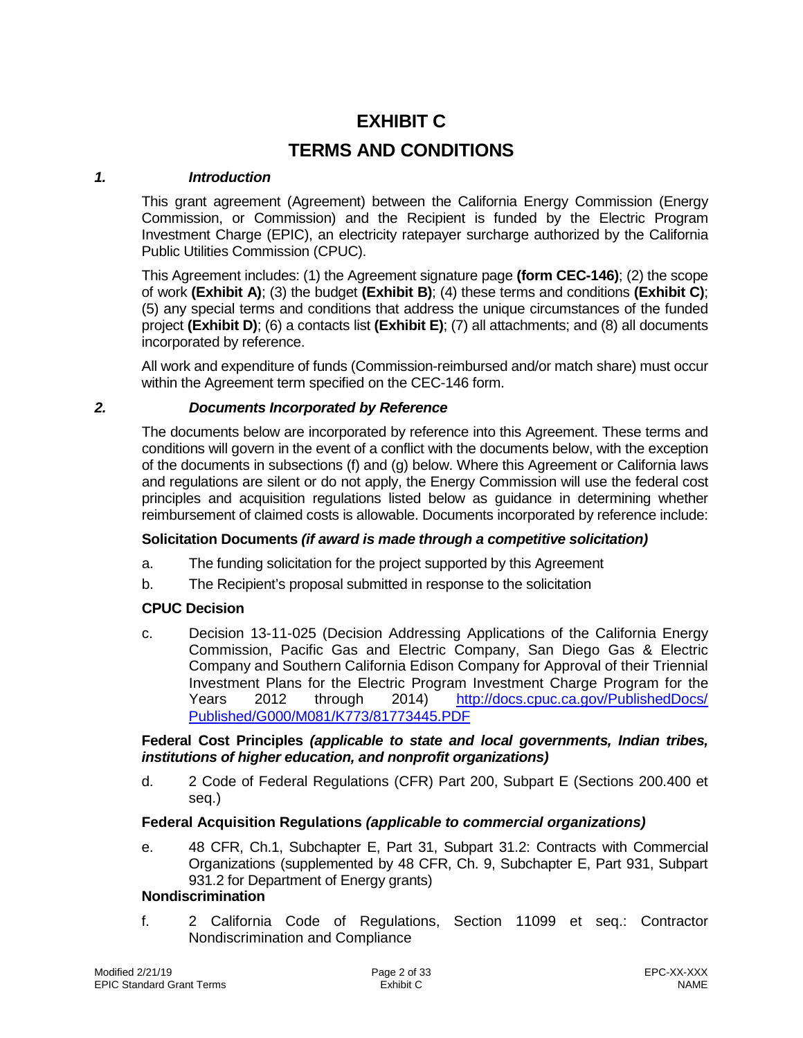# **EXHIBIT C**

# **TERMS AND CONDITIONS**

#### *1. Introduction*

<span id="page-1-0"></span>This grant agreement (Agreement) between the California Energy Commission (Energy Commission, or Commission) and the Recipient is funded by the Electric Program Investment Charge (EPIC), an electricity ratepayer surcharge authorized by the California Public Utilities Commission (CPUC).

This Agreement includes: (1) the Agreement signature page **(form CEC-146)**; (2) the scope of work **(Exhibit A)**; (3) the budget **(Exhibit B)**; (4) these terms and conditions **(Exhibit C)**; (5) any special terms and conditions that address the unique circumstances of the funded project **(Exhibit D)**; (6) a contacts list **(Exhibit E)**; (7) all attachments; and (8) all documents incorporated by reference.

All work and expenditure of funds (Commission-reimbursed and/or match share) must occur within the Agreement term specified on the CEC-146 form.

## <span id="page-1-1"></span>*2. Documents Incorporated by Reference*

The documents below are incorporated by reference into this Agreement. These terms and conditions will govern in the event of a conflict with the documents below, with the exception of the documents in subsections (f) and (g) below. Where this Agreement or California laws and regulations are silent or do not apply, the Energy Commission will use the federal cost principles and acquisition regulations listed below as guidance in determining whether reimbursement of claimed costs is allowable. Documents incorporated by reference include:

#### **Solicitation Documents** *(if award is made through a competitive solicitation)*

- a. The funding solicitation for the project supported by this Agreement
- b. The Recipient's proposal submitted in response to the solicitation

# **CPUC Decision**

c. Decision 13-11-025 (Decision Addressing Applications of the California Energy Commission, Pacific Gas and Electric Company, San Diego Gas & Electric Company and Southern California Edison Company for Approval of their Triennial Investment Plans for the Electric Program Investment Charge Program for the Years 2012 through 2014) [http://docs.cpuc.ca.gov/PublishedDocs/](http://docs.cpuc.ca.gov/PublishedDocs/%20Published/G000/M081/K773/81773445.PDF)  [Published/G000/M081/K773/81773445.PDF](http://docs.cpuc.ca.gov/PublishedDocs/%20Published/G000/M081/K773/81773445.PDF)

#### **Federal Cost Principles** *(applicable to state and local governments, Indian tribes, institutions of higher education, and nonprofit organizations)*

d. 2 Code of Federal Regulations (CFR) Part 200, Subpart E (Sections 200.400 et seq.)

## **Federal Acquisition Regulations** *(applicable to commercial organizations)*

e. 48 CFR, Ch.1, Subchapter E, Part 31, Subpart 31.2: Contracts with Commercial Organizations (supplemented by 48 CFR, Ch. 9, Subchapter E, Part 931, Subpart 931.2 for Department of Energy grants)

## **Nondiscrimination**

f. 2 California Code of Regulations, Section 11099 et seq.: Contractor Nondiscrimination and Compliance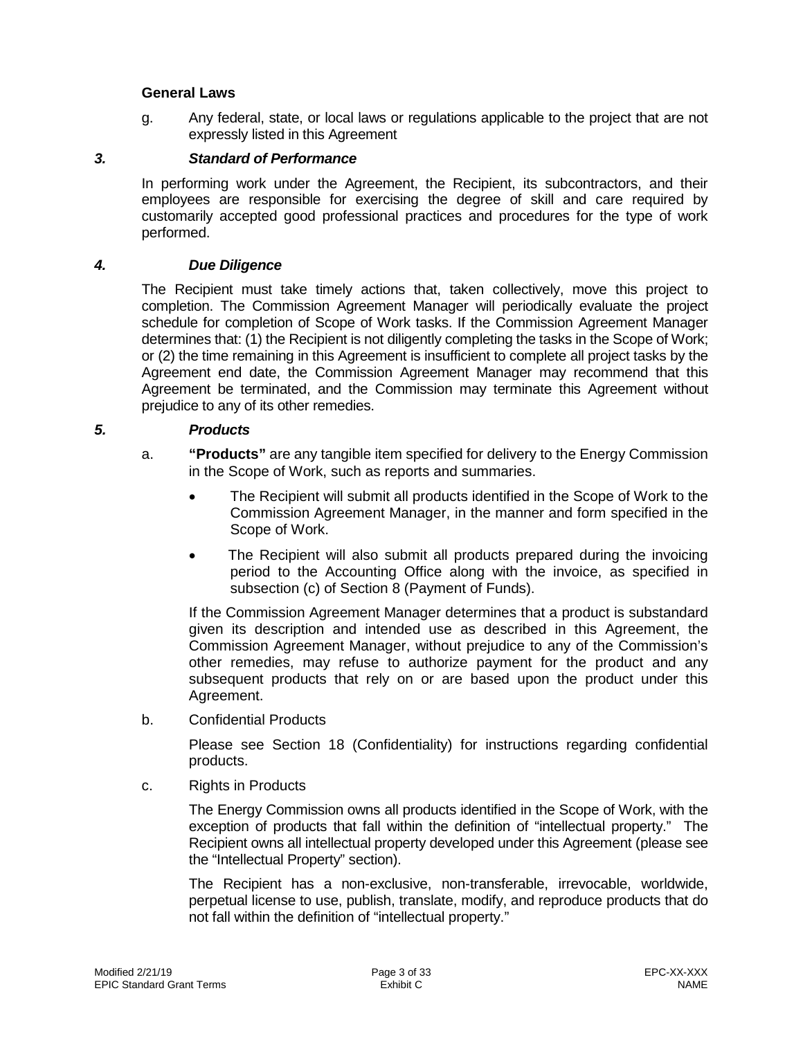#### **General Laws**

g. Any federal, state, or local laws or regulations applicable to the project that are not expressly listed in this Agreement

# *3. Standard of Performance*

<span id="page-2-0"></span>In performing work under the Agreement, the Recipient, its subcontractors, and their employees are responsible for exercising the degree of skill and care required by customarily accepted good professional practices and procedures for the type of work performed.

### *4. Due Diligence*

<span id="page-2-1"></span>The Recipient must take timely actions that, taken collectively, move this project to completion. The Commission Agreement Manager will periodically evaluate the project schedule for completion of Scope of Work tasks. If the Commission Agreement Manager determines that: (1) the Recipient is not diligently completing the tasks in the Scope of Work; or (2) the time remaining in this Agreement is insufficient to complete all project tasks by the Agreement end date, the Commission Agreement Manager may recommend that this Agreement be terminated, and the Commission may terminate this Agreement without prejudice to any of its other remedies.

## *5. Products*

- <span id="page-2-2"></span>a. **"Products"** are any tangible item specified for delivery to the Energy Commission in the Scope of Work, such as reports and summaries.
	- The Recipient will submit all products identified in the Scope of Work to the Commission Agreement Manager, in the manner and form specified in the Scope of Work.
	- The Recipient will also submit all products prepared during the invoicing period to the Accounting Office along with the invoice, as specified in subsection (c) of Section 8 (Payment of Funds).

If the Commission Agreement Manager determines that a product is substandard given its description and intended use as described in this Agreement, the Commission Agreement Manager, without prejudice to any of the Commission's other remedies, may refuse to authorize payment for the product and any subsequent products that rely on or are based upon the product under this Agreement.

b. Confidential Products

Please see Section 18 (Confidentiality) for instructions regarding confidential products.

c. Rights in Products

The Energy Commission owns all products identified in the Scope of Work, with the exception of products that fall within the definition of "intellectual property." The Recipient owns all intellectual property developed under this Agreement (please see the "Intellectual Property" section).

The Recipient has a non-exclusive, non-transferable, irrevocable, worldwide, perpetual license to use, publish, translate, modify, and reproduce products that do not fall within the definition of "intellectual property."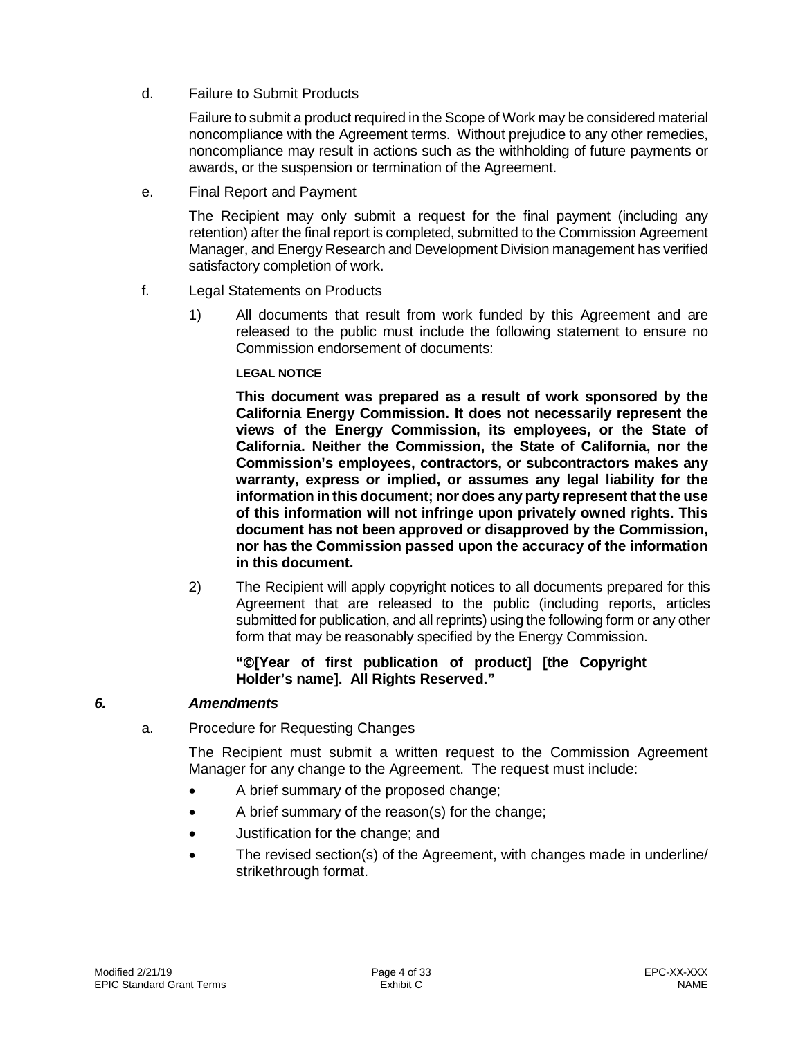d. Failure to Submit Products

Failure to submit a product required in the Scope of Work may be considered material noncompliance with the Agreement terms. Without prejudice to any other remedies, noncompliance may result in actions such as the withholding of future payments or awards, or the suspension or termination of the Agreement.

e. Final Report and Payment

The Recipient may only submit a request for the final payment (including any retention) after the final report is completed, submitted to the Commission Agreement Manager, and Energy Research and Development Division management has verified satisfactory completion of work.

- f. Legal Statements on Products
	- 1) All documents that result from work funded by this Agreement and are released to the public must include the following statement to ensure no Commission endorsement of documents:

#### **LEGAL NOTICE**

**This document was prepared as a result of work sponsored by the California Energy Commission. It does not necessarily represent the views of the Energy Commission, its employees, or the State of California. Neither the Commission, the State of California, nor the Commission's employees, contractors, or subcontractors makes any warranty, express or implied, or assumes any legal liability for the information in this document; nor does any party represent that the use of this information will not infringe upon privately owned rights. This document has not been approved or disapproved by the Commission, nor has the Commission passed upon the accuracy of the information in this document.**

2) The Recipient will apply copyright notices to all documents prepared for this Agreement that are released to the public (including reports, articles submitted for publication, and all reprints) using the following form or any other form that may be reasonably specified by the Energy Commission.

## **"[Year of first publication of product] [the Copyright Holder's name]. All Rights Reserved."**

## *6. Amendments*

a. Procedure for Requesting Changes

<span id="page-3-0"></span>The Recipient must submit a written request to the Commission Agreement Manager for any change to the Agreement. The request must include:

- A brief summary of the proposed change;
- A brief summary of the reason(s) for the change;
- Justification for the change; and
- The revised section(s) of the Agreement, with changes made in underline/ strikethrough format.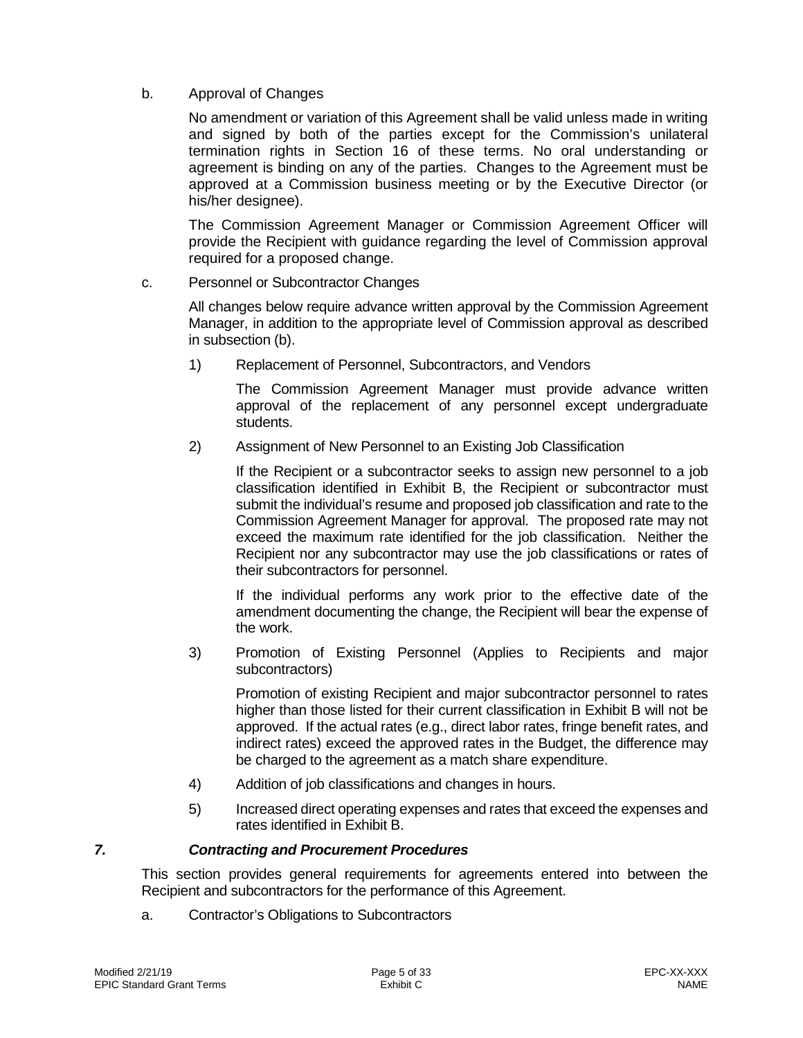## b. Approval of Changes

No amendment or variation of this Agreement shall be valid unless made in writing and signed by both of the parties except for the Commission's unilateral termination rights in Section 16 of these terms. No oral understanding or agreement is binding on any of the parties. Changes to the Agreement must be approved at a Commission business meeting or by the Executive Director (or his/her designee).

The Commission Agreement Manager or Commission Agreement Officer will provide the Recipient with guidance regarding the level of Commission approval required for a proposed change.

#### c. Personnel or Subcontractor Changes

All changes below require advance written approval by the Commission Agreement Manager, in addition to the appropriate level of Commission approval as described in subsection (b).

1) Replacement of Personnel, Subcontractors, and Vendors

The Commission Agreement Manager must provide advance written approval of the replacement of any personnel except undergraduate students.

2) Assignment of New Personnel to an Existing Job Classification

If the Recipient or a subcontractor seeks to assign new personnel to a job classification identified in Exhibit B, the Recipient or subcontractor must submit the individual's resume and proposed job classification and rate to the Commission Agreement Manager for approval. The proposed rate may not exceed the maximum rate identified for the job classification. Neither the Recipient nor any subcontractor may use the job classifications or rates of their subcontractors for personnel.

If the individual performs any work prior to the effective date of the amendment documenting the change, the Recipient will bear the expense of the work.

3) Promotion of Existing Personnel (Applies to Recipients and major subcontractors)

Promotion of existing Recipient and major subcontractor personnel to rates higher than those listed for their current classification in Exhibit B will not be approved. If the actual rates (e.g., direct labor rates, fringe benefit rates, and indirect rates) exceed the approved rates in the Budget, the difference may be charged to the agreement as a match share expenditure.

- 4) Addition of job classifications and changes in hours.
- <span id="page-4-0"></span>5) Increased direct operating expenses and rates that exceed the expenses and rates identified in Exhibit B.

## *7. Contracting and Procurement Procedures*

This section provides general requirements for agreements entered into between the Recipient and subcontractors for the performance of this Agreement.

a. Contractor's Obligations to Subcontractors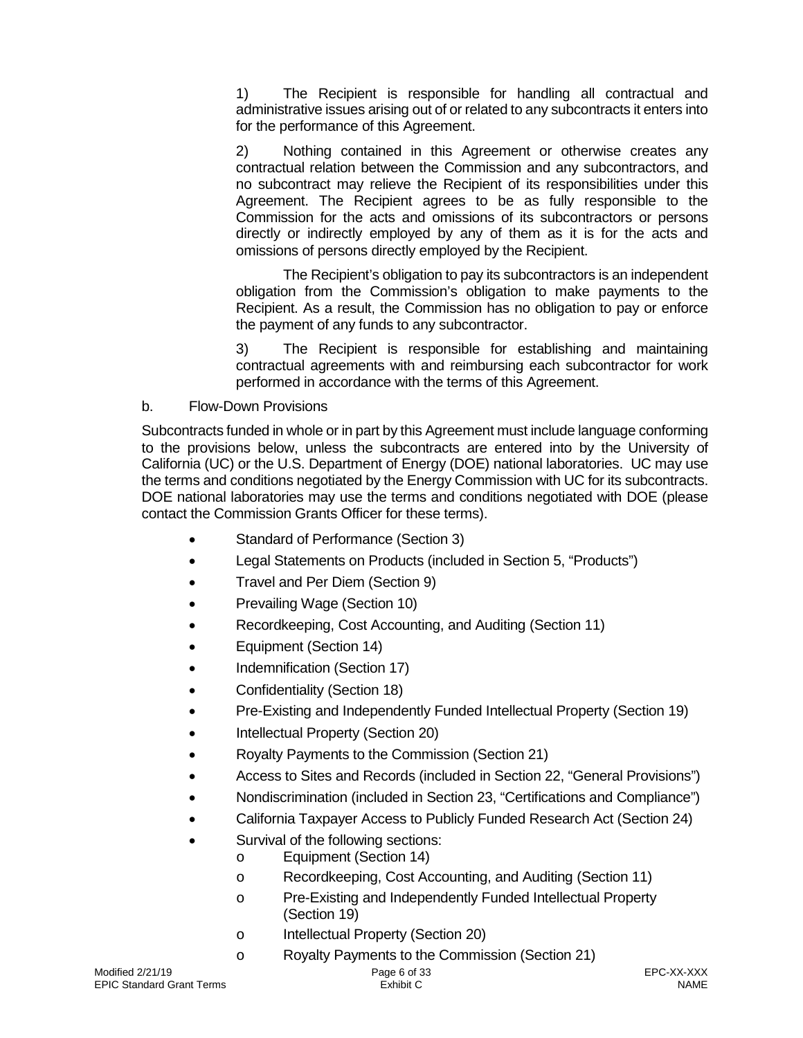1) The Recipient is responsible for handling all contractual and administrative issues arising out of or related to any subcontracts it enters into for the performance of this Agreement.

2) Nothing contained in this Agreement or otherwise creates any contractual relation between the Commission and any subcontractors, and no subcontract may relieve the Recipient of its responsibilities under this Agreement. The Recipient agrees to be as fully responsible to the Commission for the acts and omissions of its subcontractors or persons directly or indirectly employed by any of them as it is for the acts and omissions of persons directly employed by the Recipient.

The Recipient's obligation to pay its subcontractors is an independent obligation from the Commission's obligation to make payments to the Recipient. As a result, the Commission has no obligation to pay or enforce the payment of any funds to any subcontractor.

3) The Recipient is responsible for establishing and maintaining contractual agreements with and reimbursing each subcontractor for work performed in accordance with the terms of this Agreement.

b. Flow-Down Provisions

Subcontracts funded in whole or in part by this Agreement must include language conforming to the provisions below, unless the subcontracts are entered into by the University of California (UC) or the U.S. Department of Energy (DOE) national laboratories. UC may use the terms and conditions negotiated by the Energy Commission with UC for its subcontracts. DOE national laboratories may use the terms and conditions negotiated with DOE (please contact the Commission Grants Officer for these terms).

- Standard of Performance (Section 3)
- Legal Statements on Products (included in Section 5, "Products")
- Travel and Per Diem (Section 9)
- Prevailing Wage (Section 10)
- Recordkeeping, Cost Accounting, and Auditing (Section 11)
- Equipment (Section 14)
- Indemnification (Section 17)
- Confidentiality (Section 18)
- Pre-Existing and Independently Funded Intellectual Property (Section 19)
- Intellectual Property (Section 20)
- Royalty Payments to the Commission (Section 21)
- Access to Sites and Records (included in Section 22, "General Provisions")
- Nondiscrimination (included in Section 23, "Certifications and Compliance")
- California Taxpayer Access to Publicly Funded Research Act (Section 24)
- Survival of the following sections:
	- o Equipment (Section 14)
	- o Recordkeeping, Cost Accounting, and Auditing (Section 11)
	- o Pre-Existing and Independently Funded Intellectual Property (Section 19)
	- o Intellectual Property (Section 20)
	- o Royalty Payments to the Commission (Section 21)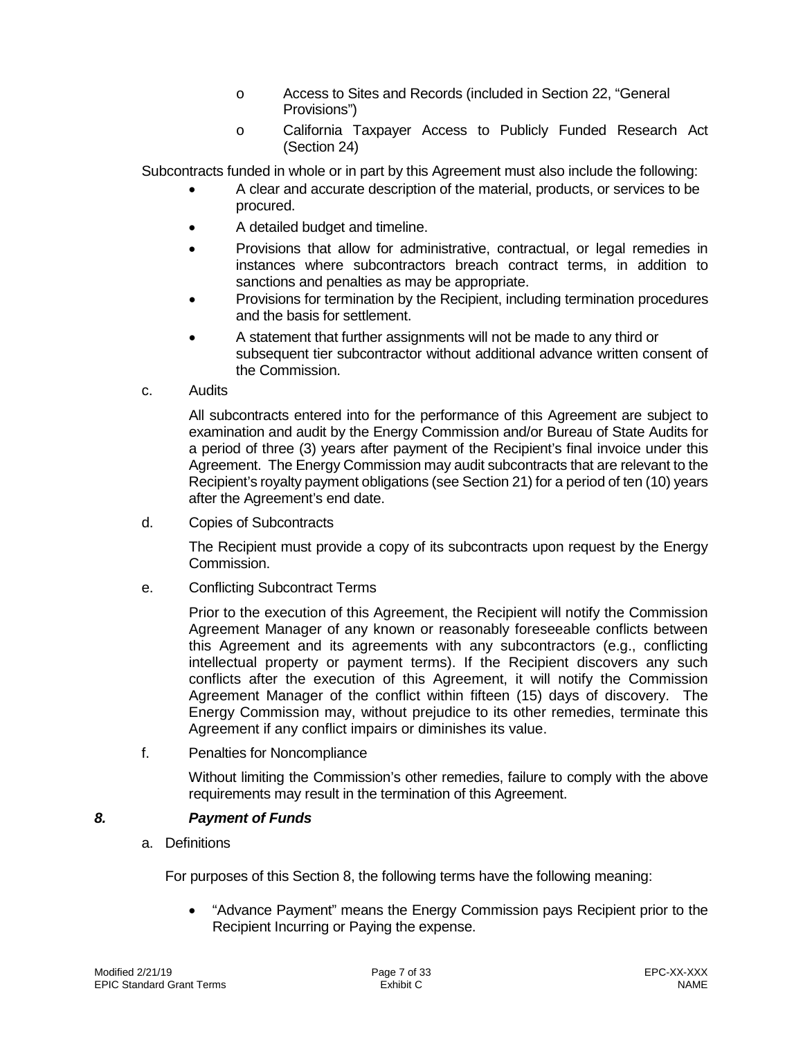- o Access to Sites and Records (included in Section 22, "General Provisions")
- o California Taxpayer Access to Publicly Funded Research Act (Section 24)

Subcontracts funded in whole or in part by this Agreement must also include the following:

- A clear and accurate description of the material, products, or services to be procured.
- A detailed budget and timeline.
- Provisions that allow for administrative, contractual, or legal remedies in instances where subcontractors breach contract terms, in addition to sanctions and penalties as may be appropriate.
- Provisions for termination by the Recipient, including termination procedures and the basis for settlement.
- A statement that further assignments will not be made to any third or subsequent tier subcontractor without additional advance written consent of the Commission.
- c. Audits

All subcontracts entered into for the performance of this Agreement are subject to examination and audit by the Energy Commission and/or Bureau of State Audits for a period of three (3) years after payment of the Recipient's final invoice under this Agreement. The Energy Commission may audit subcontracts that are relevant to the Recipient's royalty payment obligations (see Section 21) for a period of ten (10) years after the Agreement's end date.

d. Copies of Subcontracts

The Recipient must provide a copy of its subcontracts upon request by the Energy Commission.

e. Conflicting Subcontract Terms

Prior to the execution of this Agreement, the Recipient will notify the Commission Agreement Manager of any known or reasonably foreseeable conflicts between this Agreement and its agreements with any subcontractors (e.g., conflicting intellectual property or payment terms). If the Recipient discovers any such conflicts after the execution of this Agreement, it will notify the Commission Agreement Manager of the conflict within fifteen (15) days of discovery. The Energy Commission may, without prejudice to its other remedies, terminate this Agreement if any conflict impairs or diminishes its value.

f. Penalties for Noncompliance

<span id="page-6-0"></span>Without limiting the Commission's other remedies, failure to comply with the above requirements may result in the termination of this Agreement.

## *8. Payment of Funds*

a. Definitions

For purposes of this Section 8, the following terms have the following meaning:

• "Advance Payment" means the Energy Commission pays Recipient prior to the Recipient Incurring or Paying the expense.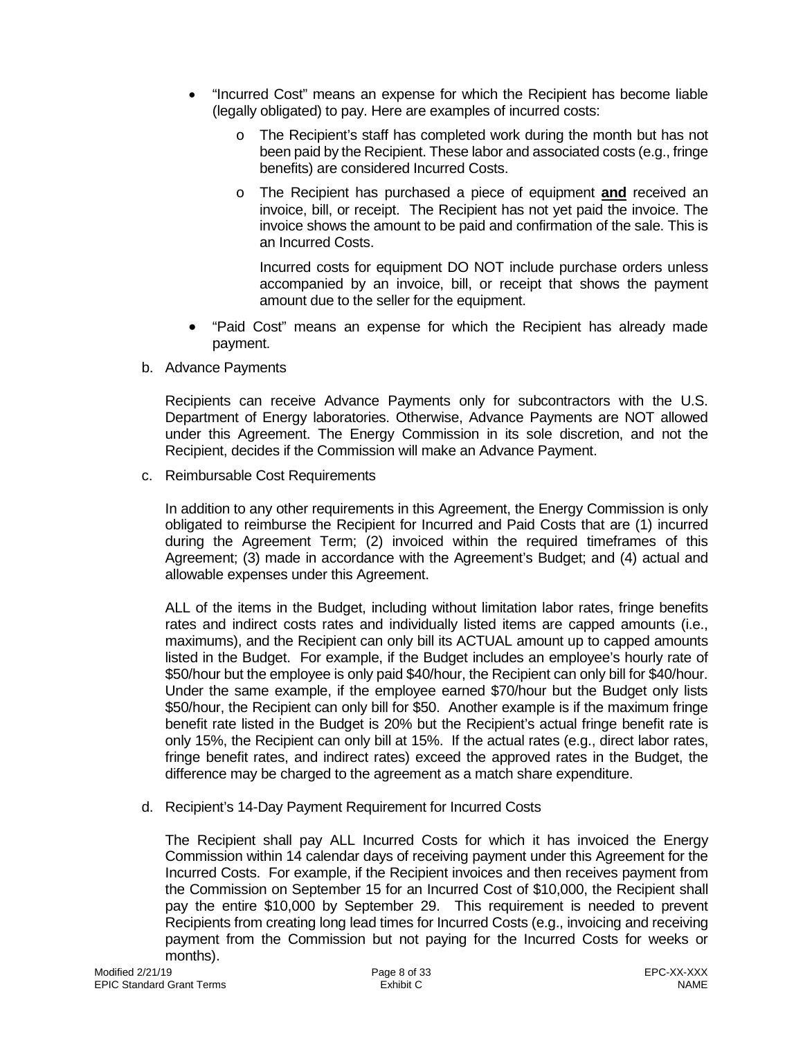- "Incurred Cost" means an expense for which the Recipient has become liable (legally obligated) to pay. Here are examples of incurred costs:
	- o The Recipient's staff has completed work during the month but has not been paid by the Recipient. These labor and associated costs (e.g., fringe benefits) are considered Incurred Costs.
	- o The Recipient has purchased a piece of equipment **and** received an invoice, bill, or receipt. The Recipient has not yet paid the invoice. The invoice shows the amount to be paid and confirmation of the sale. This is an Incurred Costs.

Incurred costs for equipment DO NOT include purchase orders unless accompanied by an invoice, bill, or receipt that shows the payment amount due to the seller for the equipment.

- "Paid Cost" means an expense for which the Recipient has already made payment.
- b. Advance Payments

Recipients can receive Advance Payments only for subcontractors with the U.S. Department of Energy laboratories. Otherwise, Advance Payments are NOT allowed under this Agreement. The Energy Commission in its sole discretion, and not the Recipient, decides if the Commission will make an Advance Payment.

c. Reimbursable Cost Requirements

In addition to any other requirements in this Agreement, the Energy Commission is only obligated to reimburse the Recipient for Incurred and Paid Costs that are (1) incurred during the Agreement Term; (2) invoiced within the required timeframes of this Agreement; (3) made in accordance with the Agreement's Budget; and (4) actual and allowable expenses under this Agreement.

ALL of the items in the Budget, including without limitation labor rates, fringe benefits rates and indirect costs rates and individually listed items are capped amounts (i.e., maximums), and the Recipient can only bill its ACTUAL amount up to capped amounts listed in the Budget. For example, if the Budget includes an employee's hourly rate of \$50/hour but the employee is only paid \$40/hour, the Recipient can only bill for \$40/hour. Under the same example, if the employee earned \$70/hour but the Budget only lists \$50/hour, the Recipient can only bill for \$50. Another example is if the maximum fringe benefit rate listed in the Budget is 20% but the Recipient's actual fringe benefit rate is only 15%, the Recipient can only bill at 15%. If the actual rates (e.g., direct labor rates, fringe benefit rates, and indirect rates) exceed the approved rates in the Budget, the difference may be charged to the agreement as a match share expenditure.

d. Recipient's 14-Day Payment Requirement for Incurred Costs

The Recipient shall pay ALL Incurred Costs for which it has invoiced the Energy Commission within 14 calendar days of receiving payment under this Agreement for the Incurred Costs. For example, if the Recipient invoices and then receives payment from the Commission on September 15 for an Incurred Cost of \$10,000, the Recipient shall pay the entire \$10,000 by September 29. This requirement is needed to prevent Recipients from creating long lead times for Incurred Costs (e.g., invoicing and receiving payment from the Commission but not paying for the Incurred Costs for weeks or months).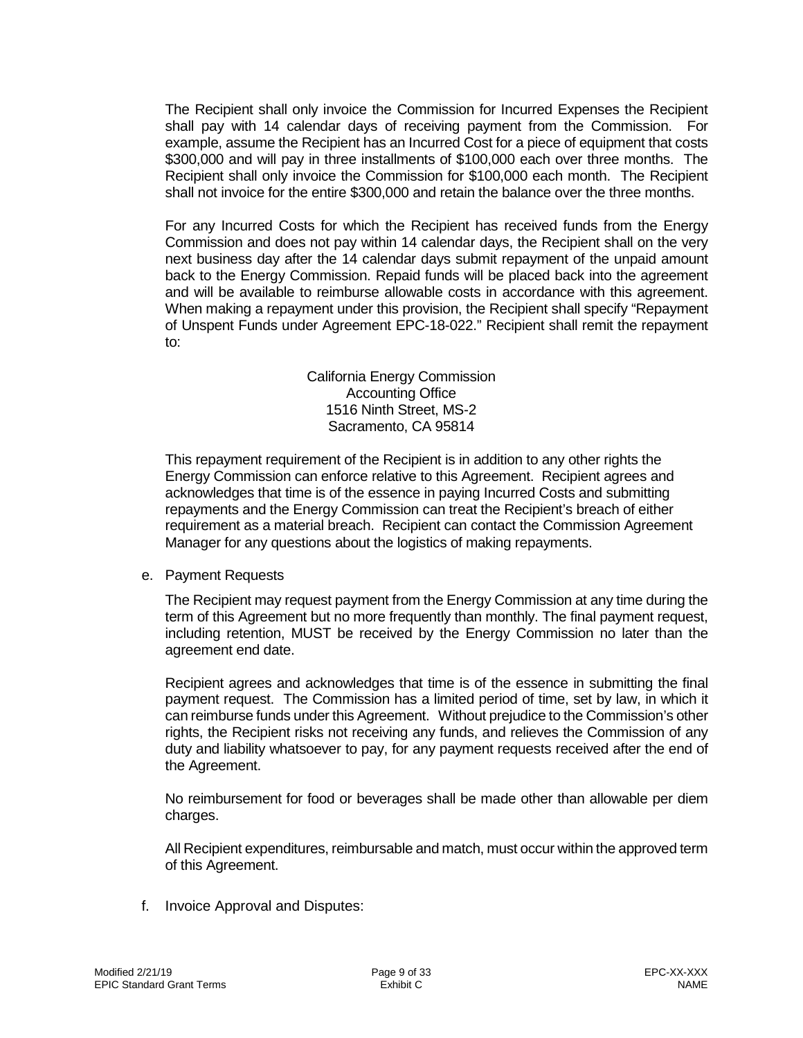The Recipient shall only invoice the Commission for Incurred Expenses the Recipient shall pay with 14 calendar days of receiving payment from the Commission. For example, assume the Recipient has an Incurred Cost for a piece of equipment that costs \$300,000 and will pay in three installments of \$100,000 each over three months. The Recipient shall only invoice the Commission for \$100,000 each month. The Recipient shall not invoice for the entire \$300,000 and retain the balance over the three months.

For any Incurred Costs for which the Recipient has received funds from the Energy Commission and does not pay within 14 calendar days, the Recipient shall on the very next business day after the 14 calendar days submit repayment of the unpaid amount back to the Energy Commission. Repaid funds will be placed back into the agreement and will be available to reimburse allowable costs in accordance with this agreement. When making a repayment under this provision, the Recipient shall specify "Repayment of Unspent Funds under Agreement EPC-18-022." Recipient shall remit the repayment to:

> California Energy Commission Accounting Office 1516 Ninth Street, MS-2 Sacramento, CA 95814

This repayment requirement of the Recipient is in addition to any other rights the Energy Commission can enforce relative to this Agreement. Recipient agrees and acknowledges that time is of the essence in paying Incurred Costs and submitting repayments and the Energy Commission can treat the Recipient's breach of either requirement as a material breach. Recipient can contact the Commission Agreement Manager for any questions about the logistics of making repayments.

e. Payment Requests

The Recipient may request payment from the Energy Commission at any time during the term of this Agreement but no more frequently than monthly. The final payment request, including retention, MUST be received by the Energy Commission no later than the agreement end date.

Recipient agrees and acknowledges that time is of the essence in submitting the final payment request. The Commission has a limited period of time, set by law, in which it can reimburse funds under this Agreement. Without prejudice to the Commission's other rights, the Recipient risks not receiving any funds, and relieves the Commission of any duty and liability whatsoever to pay, for any payment requests received after the end of the Agreement.

No reimbursement for food or beverages shall be made other than allowable per diem charges.

All Recipient expenditures, reimbursable and match, must occur within the approved term of this Agreement.

f. Invoice Approval and Disputes: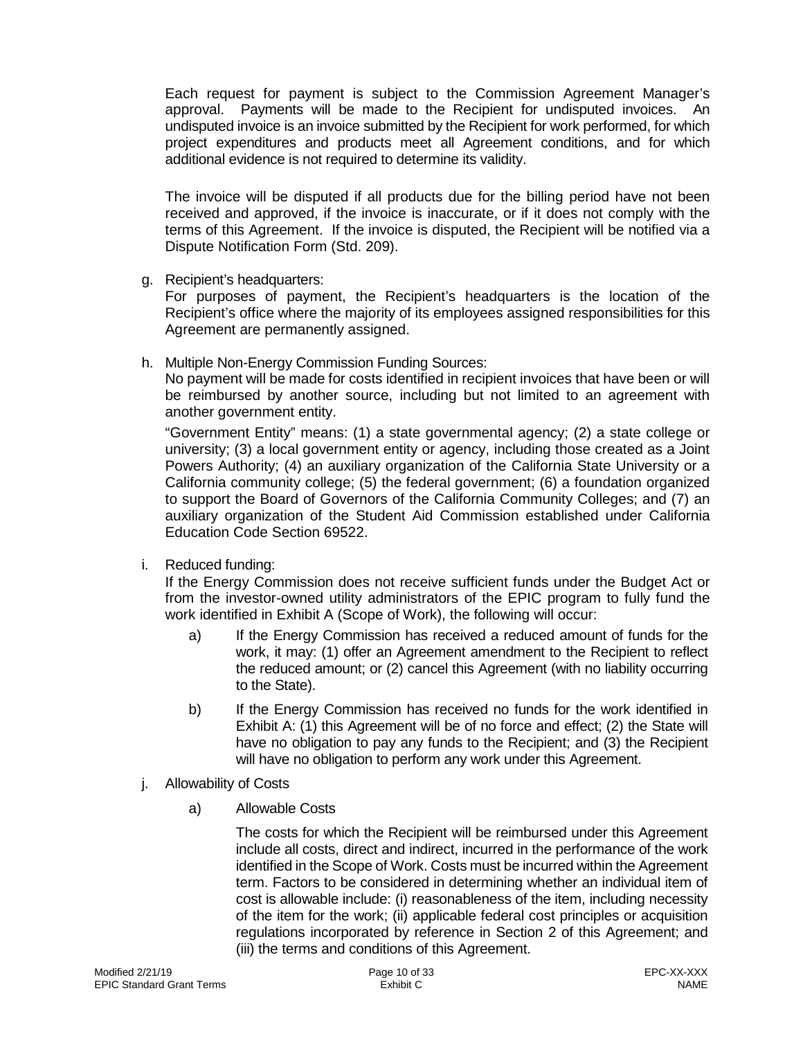Each request for payment is subject to the Commission Agreement Manager's approval. Payments will be made to the Recipient for undisputed invoices. An undisputed invoice is an invoice submitted by the Recipient for work performed, for which project expenditures and products meet all Agreement conditions, and for which additional evidence is not required to determine its validity.

The invoice will be disputed if all products due for the billing period have not been received and approved, if the invoice is inaccurate, or if it does not comply with the terms of this Agreement. If the invoice is disputed, the Recipient will be notified via a Dispute Notification Form (Std. 209).

g. Recipient's headquarters:

For purposes of payment, the Recipient's headquarters is the location of the Recipient's office where the majority of its employees assigned responsibilities for this Agreement are permanently assigned.

h. Multiple Non-Energy Commission Funding Sources:

No payment will be made for costs identified in recipient invoices that have been or will be reimbursed by another source, including but not limited to an agreement with another government entity.

"Government Entity" means: (1) a state governmental agency; (2) a state college or university; (3) a local government entity or agency, including those created as a Joint Powers Authority; (4) an auxiliary organization of the California State University or a California community college; (5) the federal government; (6) a foundation organized to support the Board of Governors of the California Community Colleges; and (7) an auxiliary organization of the Student Aid Commission established under California Education Code Section 69522.

i. Reduced funding:

If the Energy Commission does not receive sufficient funds under the Budget Act or from the investor-owned utility administrators of the EPIC program to fully fund the work identified in Exhibit A (Scope of Work), the following will occur:

- a) If the Energy Commission has received a reduced amount of funds for the work, it may: (1) offer an Agreement amendment to the Recipient to reflect the reduced amount; or (2) cancel this Agreement (with no liability occurring to the State).
- b) If the Energy Commission has received no funds for the work identified in Exhibit A: (1) this Agreement will be of no force and effect; (2) the State will have no obligation to pay any funds to the Recipient; and (3) the Recipient will have no obligation to perform any work under this Agreement.
- j. Allowability of Costs
	- a) Allowable Costs

The costs for which the Recipient will be reimbursed under this Agreement include all costs, direct and indirect, incurred in the performance of the work identified in the Scope of Work. Costs must be incurred within the Agreement term. Factors to be considered in determining whether an individual item of cost is allowable include: (i) reasonableness of the item, including necessity of the item for the work; (ii) applicable federal cost principles or acquisition regulations incorporated by reference in Section 2 of this Agreement; and (iii) the terms and conditions of this Agreement.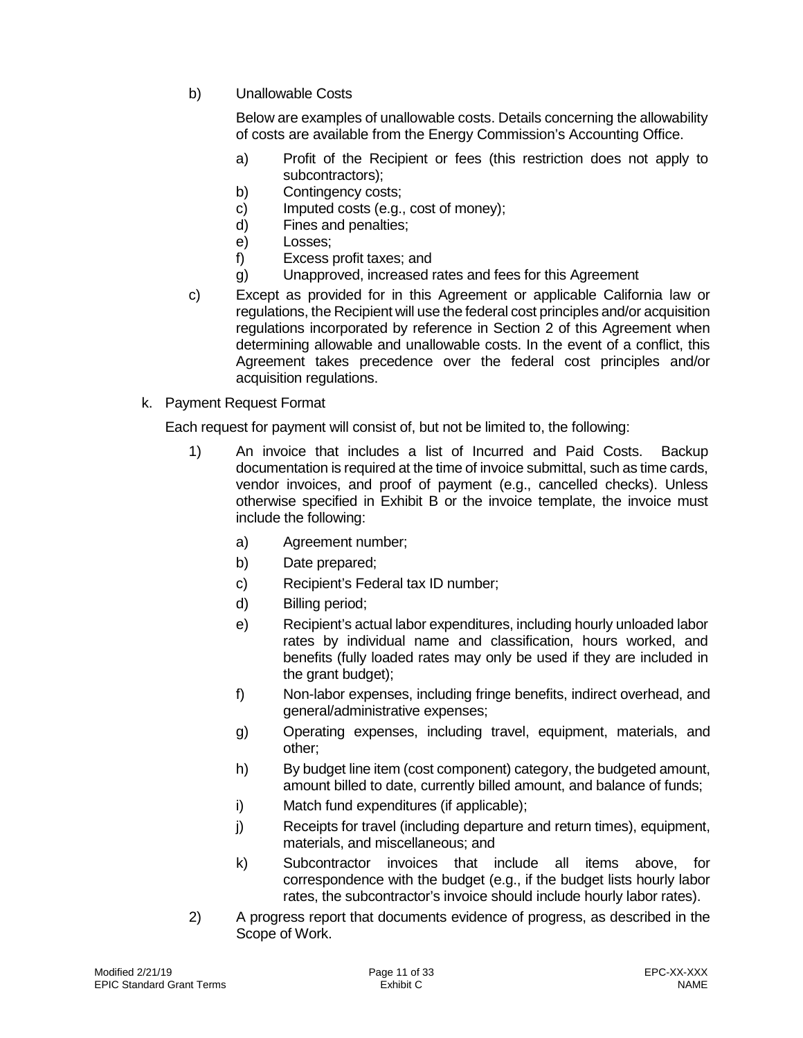b) Unallowable Costs

Below are examples of unallowable costs. Details concerning the allowability of costs are available from the Energy Commission's Accounting Office.

- a) Profit of the Recipient or fees (this restriction does not apply to subcontractors);
- b) Contingency costs;
- c) Imputed costs (e.g., cost of money);
- d) Fines and penalties;
- e) Losses;
- f) Excess profit taxes; and
- g) Unapproved, increased rates and fees for this Agreement
- c) Except as provided for in this Agreement or applicable California law or regulations, the Recipient will use the federal cost principles and/or acquisition regulations incorporated by reference in Section 2 of this Agreement when determining allowable and unallowable costs. In the event of a conflict, this Agreement takes precedence over the federal cost principles and/or acquisition regulations.
- k. Payment Request Format

Each request for payment will consist of, but not be limited to, the following:

- 1) An invoice that includes a list of Incurred and Paid Costs. Backup documentation is required at the time of invoice submittal, such as time cards, vendor invoices, and proof of payment (e.g., cancelled checks). Unless otherwise specified in Exhibit B or the invoice template, the invoice must include the following:
	- a) Agreement number;
	- b) Date prepared;
	- c) Recipient's Federal tax ID number;
	- d) Billing period;
	- e) Recipient's actual labor expenditures, including hourly unloaded labor rates by individual name and classification, hours worked, and benefits (fully loaded rates may only be used if they are included in the grant budget);
	- f) Non-labor expenses, including fringe benefits, indirect overhead, and general/administrative expenses;
	- g) Operating expenses, including travel, equipment, materials, and other;
	- h) By budget line item (cost component) category, the budgeted amount, amount billed to date, currently billed amount, and balance of funds;
	- i) Match fund expenditures (if applicable);
	- j) Receipts for travel (including departure and return times), equipment, materials, and miscellaneous; and
	- k) Subcontractor invoices that include all items above, for correspondence with the budget (e.g., if the budget lists hourly labor rates, the subcontractor's invoice should include hourly labor rates).
- 2) A progress report that documents evidence of progress, as described in the Scope of Work.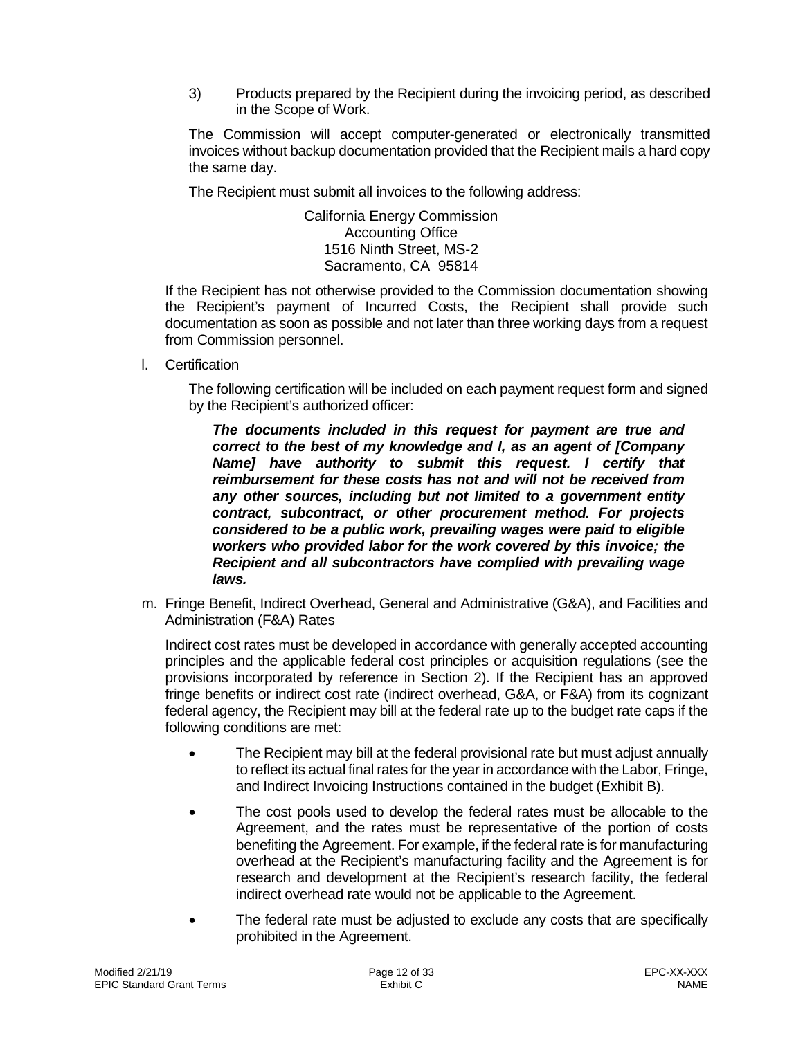3) Products prepared by the Recipient during the invoicing period, as described in the Scope of Work.

The Commission will accept computer-generated or electronically transmitted invoices without backup documentation provided that the Recipient mails a hard copy the same day.

The Recipient must submit all invoices to the following address:

California Energy Commission Accounting Office 1516 Ninth Street, MS-2 Sacramento, CA 95814

If the Recipient has not otherwise provided to the Commission documentation showing the Recipient's payment of Incurred Costs, the Recipient shall provide such documentation as soon as possible and not later than three working days from a request from Commission personnel.

l. Certification

The following certification will be included on each payment request form and signed by the Recipient's authorized officer:

*The documents included in this request for payment are true and correct to the best of my knowledge and I, as an agent of [Company Name] have authority to submit this request. I certify that reimbursement for these costs has not and will not be received from any other sources, including but not limited to a government entity contract, subcontract, or other procurement method. For projects considered to be a public work, prevailing wages were paid to eligible workers who provided labor for the work covered by this invoice; the Recipient and all subcontractors have complied with prevailing wage laws.*

m. Fringe Benefit, Indirect Overhead, General and Administrative (G&A), and Facilities and Administration (F&A) Rates

Indirect cost rates must be developed in accordance with generally accepted accounting principles and the applicable federal cost principles or acquisition regulations (see the provisions incorporated by reference in Section 2). If the Recipient has an approved fringe benefits or indirect cost rate (indirect overhead, G&A, or F&A) from its cognizant federal agency, the Recipient may bill at the federal rate up to the budget rate caps if the following conditions are met:

- The Recipient may bill at the federal provisional rate but must adjust annually to reflect its actual final rates for the year in accordance with the Labor, Fringe, and Indirect Invoicing Instructions contained in the budget (Exhibit B).
- The cost pools used to develop the federal rates must be allocable to the Agreement, and the rates must be representative of the portion of costs benefiting the Agreement. For example, if the federal rate is for manufacturing overhead at the Recipient's manufacturing facility and the Agreement is for research and development at the Recipient's research facility, the federal indirect overhead rate would not be applicable to the Agreement.
- The federal rate must be adjusted to exclude any costs that are specifically prohibited in the Agreement.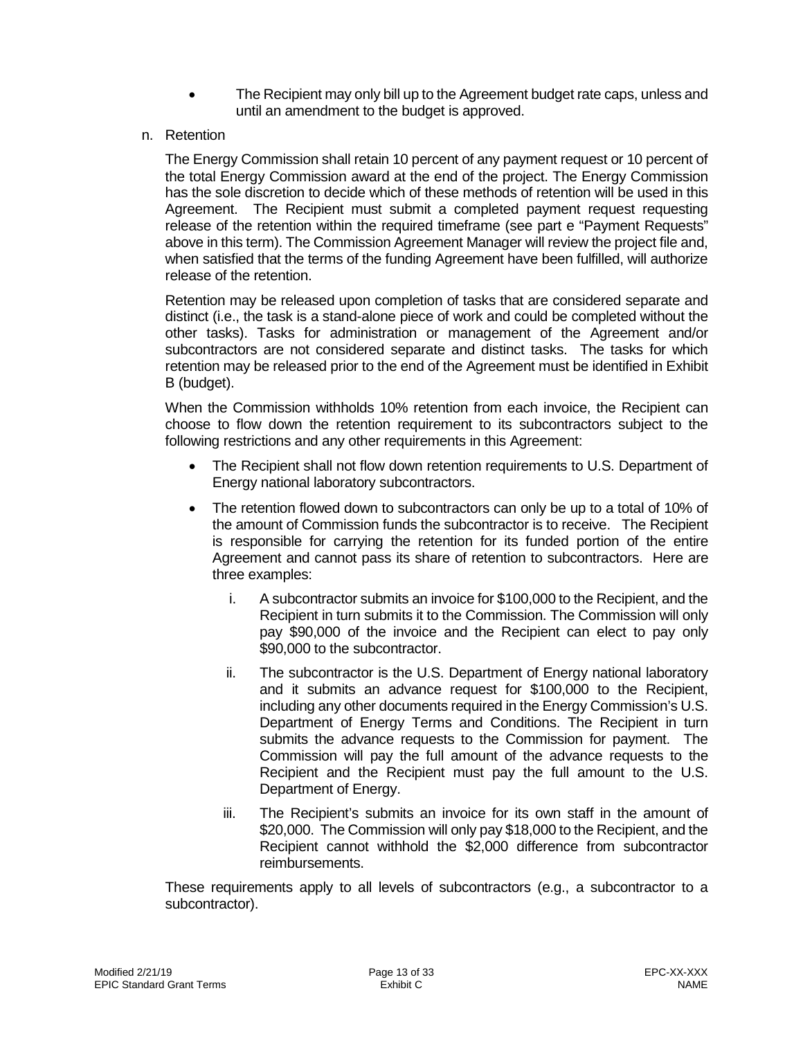- The Recipient may only bill up to the Agreement budget rate caps, unless and until an amendment to the budget is approved.
- n. Retention

The Energy Commission shall retain 10 percent of any payment request or 10 percent of the total Energy Commission award at the end of the project. The Energy Commission has the sole discretion to decide which of these methods of retention will be used in this Agreement. The Recipient must submit a completed payment request requesting release of the retention within the required timeframe (see part e "Payment Requests" above in this term). The Commission Agreement Manager will review the project file and, when satisfied that the terms of the funding Agreement have been fulfilled, will authorize release of the retention.

Retention may be released upon completion of tasks that are considered separate and distinct (i.e., the task is a stand-alone piece of work and could be completed without the other tasks). Tasks for administration or management of the Agreement and/or subcontractors are not considered separate and distinct tasks. The tasks for which retention may be released prior to the end of the Agreement must be identified in Exhibit B (budget).

When the Commission withholds 10% retention from each invoice, the Recipient can choose to flow down the retention requirement to its subcontractors subject to the following restrictions and any other requirements in this Agreement:

- The Recipient shall not flow down retention requirements to U.S. Department of Energy national laboratory subcontractors.
- The retention flowed down to subcontractors can only be up to a total of 10% of the amount of Commission funds the subcontractor is to receive. The Recipient is responsible for carrying the retention for its funded portion of the entire Agreement and cannot pass its share of retention to subcontractors. Here are three examples:
	- i. A subcontractor submits an invoice for \$100,000 to the Recipient, and the Recipient in turn submits it to the Commission. The Commission will only pay \$90,000 of the invoice and the Recipient can elect to pay only \$90,000 to the subcontractor.
	- ii. The subcontractor is the U.S. Department of Energy national laboratory and it submits an advance request for \$100,000 to the Recipient, including any other documents required in the Energy Commission's U.S. Department of Energy Terms and Conditions. The Recipient in turn submits the advance requests to the Commission for payment. The Commission will pay the full amount of the advance requests to the Recipient and the Recipient must pay the full amount to the U.S. Department of Energy.
	- iii. The Recipient's submits an invoice for its own staff in the amount of \$20,000. The Commission will only pay \$18,000 to the Recipient, and the Recipient cannot withhold the \$2,000 difference from subcontractor reimbursements.

These requirements apply to all levels of subcontractors (e.g., a subcontractor to a subcontractor).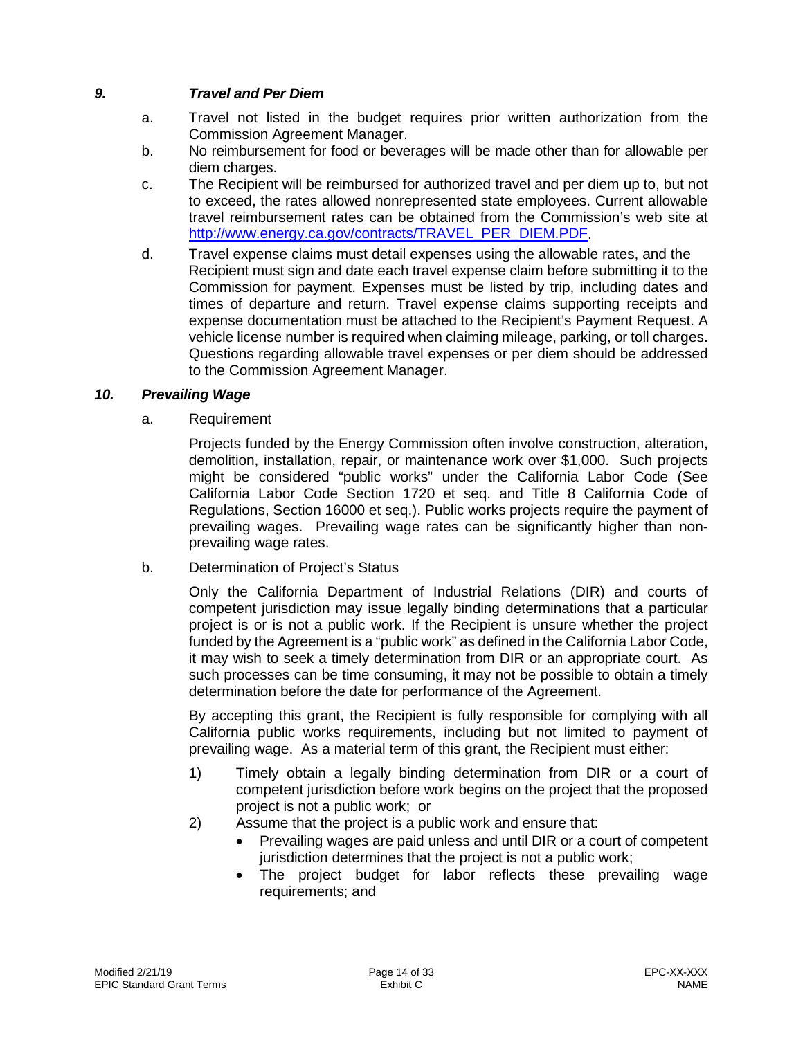# *9. Travel and Per Diem*

- <span id="page-13-0"></span>a. Travel not listed in the budget requires prior written authorization from the Commission Agreement Manager.
- b. No reimbursement for food or beverages will be made other than for allowable per diem charges.
- c. The Recipient will be reimbursed for authorized travel and per diem up to, but not to exceed, the rates allowed nonrepresented state employees. Current allowable travel reimbursement rates can be obtained from the Commission's web site at [http://www.energy.ca.gov/contracts/TRAVEL\\_PER\\_DIEM.PDF.](http://www.energy.ca.gov/contracts/TRAVEL_PER_DIEM.PDF)
- d. Travel expense claims must detail expenses using the allowable rates, and the Recipient must sign and date each travel expense claim before submitting it to the Commission for payment. Expenses must be listed by trip, including dates and times of departure and return. Travel expense claims supporting receipts and expense documentation must be attached to the Recipient's Payment Request. A vehicle license number is required when claiming mileage, parking, or toll charges. Questions regarding allowable travel expenses or per diem should be addressed to the Commission Agreement Manager.

# *10. Prevailing Wage*

<span id="page-13-1"></span>a. Requirement

Projects funded by the Energy Commission often involve construction, alteration, demolition, installation, repair, or maintenance work over \$1,000. Such projects might be considered "public works" under the California Labor Code (See California Labor Code Section 1720 et seq. and Title 8 California Code of Regulations, Section 16000 et seq.). Public works projects require the payment of prevailing wages. Prevailing wage rates can be significantly higher than nonprevailing wage rates.

b. Determination of Project's Status

Only the California Department of Industrial Relations (DIR) and courts of competent jurisdiction may issue legally binding determinations that a particular project is or is not a public work. If the Recipient is unsure whether the project funded by the Agreement is a "public work" as defined in the California Labor Code, it may wish to seek a timely determination from DIR or an appropriate court. As such processes can be time consuming, it may not be possible to obtain a timely determination before the date for performance of the Agreement.

By accepting this grant, the Recipient is fully responsible for complying with all California public works requirements, including but not limited to payment of prevailing wage. As a material term of this grant, the Recipient must either:

- 1) Timely obtain a legally binding determination from DIR or a court of competent jurisdiction before work begins on the project that the proposed project is not a public work; or
- 2) Assume that the project is a public work and ensure that:
	- Prevailing wages are paid unless and until DIR or a court of competent jurisdiction determines that the project is not a public work;
	- The project budget for labor reflects these prevailing wage requirements; and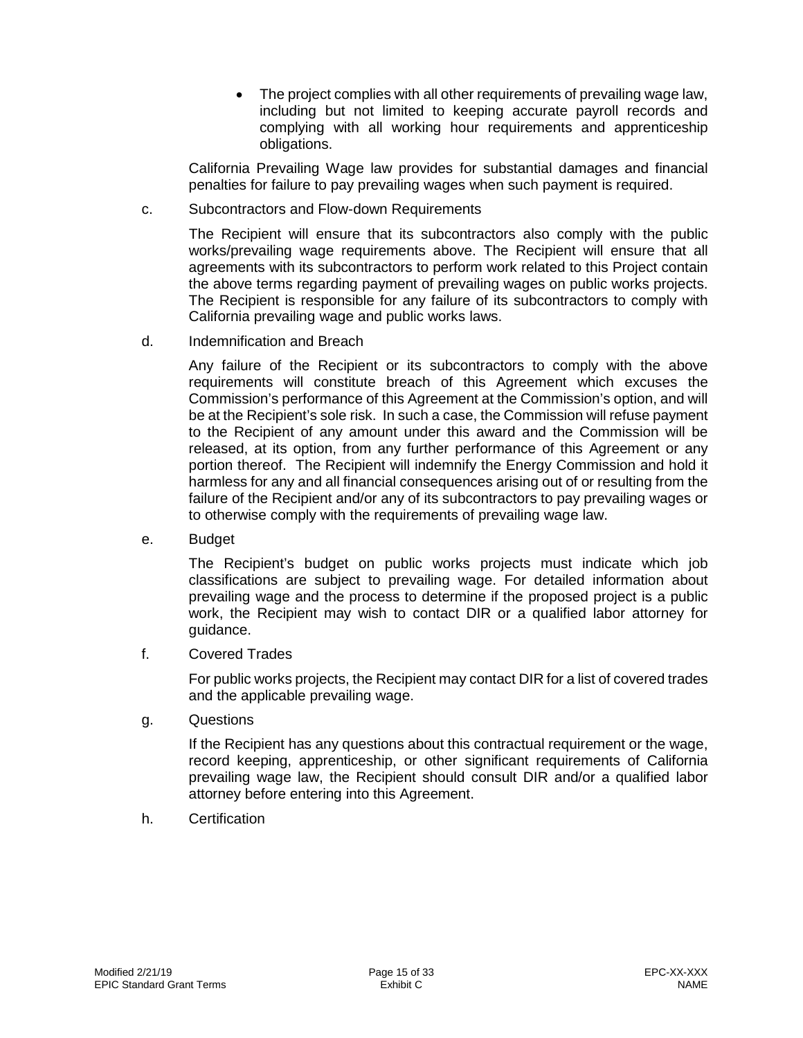• The project complies with all other requirements of prevailing wage law, including but not limited to keeping accurate payroll records and complying with all working hour requirements and apprenticeship obligations.

California Prevailing Wage law provides for substantial damages and financial penalties for failure to pay prevailing wages when such payment is required.

c. Subcontractors and Flow-down Requirements

The Recipient will ensure that its subcontractors also comply with the public works/prevailing wage requirements above. The Recipient will ensure that all agreements with its subcontractors to perform work related to this Project contain the above terms regarding payment of prevailing wages on public works projects. The Recipient is responsible for any failure of its subcontractors to comply with California prevailing wage and public works laws.

d. Indemnification and Breach

Any failure of the Recipient or its subcontractors to comply with the above requirements will constitute breach of this Agreement which excuses the Commission's performance of this Agreement at the Commission's option, and will be at the Recipient's sole risk. In such a case, the Commission will refuse payment to the Recipient of any amount under this award and the Commission will be released, at its option, from any further performance of this Agreement or any portion thereof. The Recipient will indemnify the Energy Commission and hold it harmless for any and all financial consequences arising out of or resulting from the failure of the Recipient and/or any of its subcontractors to pay prevailing wages or to otherwise comply with the requirements of prevailing wage law.

e. Budget

The Recipient's budget on public works projects must indicate which job classifications are subject to prevailing wage. For detailed information about prevailing wage and the process to determine if the proposed project is a public work, the Recipient may wish to contact DIR or a qualified labor attorney for guidance.

f. Covered Trades

For public works projects, the Recipient may contact DIR for a list of covered trades and the applicable prevailing wage.

g. Questions

If the Recipient has any questions about this contractual requirement or the wage, record keeping, apprenticeship, or other significant requirements of California prevailing wage law, the Recipient should consult DIR and/or a qualified labor attorney before entering into this Agreement.

h. Certification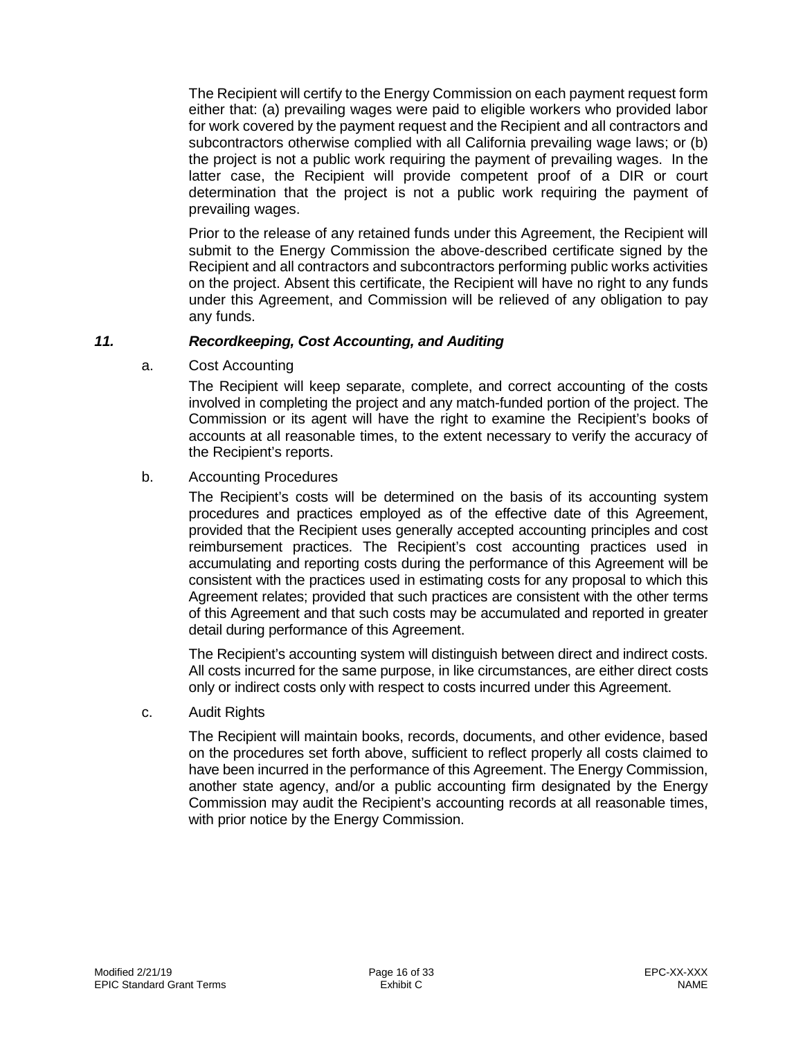The Recipient will certify to the Energy Commission on each payment request form either that: (a) prevailing wages were paid to eligible workers who provided labor for work covered by the payment request and the Recipient and all contractors and subcontractors otherwise complied with all California prevailing wage laws; or (b) the project is not a public work requiring the payment of prevailing wages. In the latter case, the Recipient will provide competent proof of a DIR or court determination that the project is not a public work requiring the payment of prevailing wages.

Prior to the release of any retained funds under this Agreement, the Recipient will submit to the Energy Commission the above-described certificate signed by the Recipient and all contractors and subcontractors performing public works activities on the project. Absent this certificate, the Recipient will have no right to any funds under this Agreement, and Commission will be relieved of any obligation to pay any funds.

## *11. Recordkeeping, Cost Accounting, and Auditing*

a. Cost Accounting

<span id="page-15-0"></span>The Recipient will keep separate, complete, and correct accounting of the costs involved in completing the project and any match-funded portion of the project. The Commission or its agent will have the right to examine the Recipient's books of accounts at all reasonable times, to the extent necessary to verify the accuracy of the Recipient's reports.

## b. Accounting Procedures

The Recipient's costs will be determined on the basis of its accounting system procedures and practices employed as of the effective date of this Agreement, provided that the Recipient uses generally accepted accounting principles and cost reimbursement practices. The Recipient's cost accounting practices used in accumulating and reporting costs during the performance of this Agreement will be consistent with the practices used in estimating costs for any proposal to which this Agreement relates; provided that such practices are consistent with the other terms of this Agreement and that such costs may be accumulated and reported in greater detail during performance of this Agreement.

The Recipient's accounting system will distinguish between direct and indirect costs. All costs incurred for the same purpose, in like circumstances, are either direct costs only or indirect costs only with respect to costs incurred under this Agreement.

c. Audit Rights

The Recipient will maintain books, records, documents, and other evidence, based on the procedures set forth above, sufficient to reflect properly all costs claimed to have been incurred in the performance of this Agreement. The Energy Commission, another state agency, and/or a public accounting firm designated by the Energy Commission may audit the Recipient's accounting records at all reasonable times, with prior notice by the Energy Commission.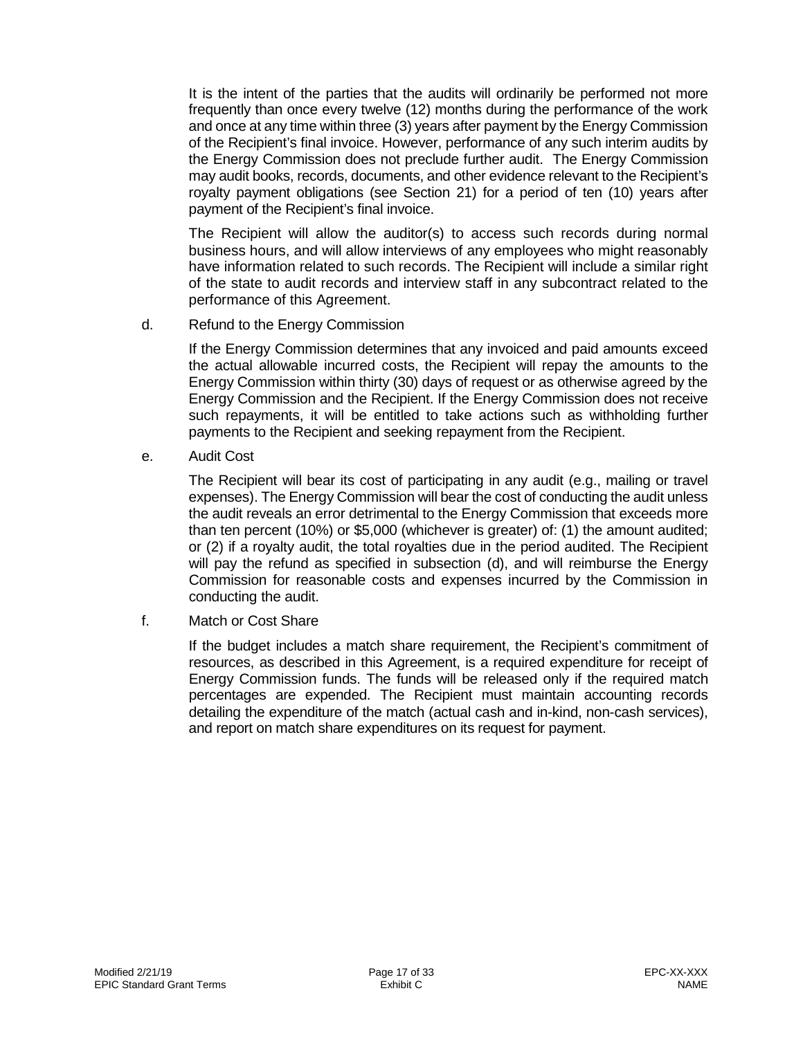It is the intent of the parties that the audits will ordinarily be performed not more frequently than once every twelve (12) months during the performance of the work and once at any time within three (3) years after payment by the Energy Commission of the Recipient's final invoice. However, performance of any such interim audits by the Energy Commission does not preclude further audit. The Energy Commission may audit books, records, documents, and other evidence relevant to the Recipient's royalty payment obligations (see Section 21) for a period of ten (10) years after payment of the Recipient's final invoice.

The Recipient will allow the auditor(s) to access such records during normal business hours, and will allow interviews of any employees who might reasonably have information related to such records. The Recipient will include a similar right of the state to audit records and interview staff in any subcontract related to the performance of this Agreement.

d. Refund to the Energy Commission

If the Energy Commission determines that any invoiced and paid amounts exceed the actual allowable incurred costs, the Recipient will repay the amounts to the Energy Commission within thirty (30) days of request or as otherwise agreed by the Energy Commission and the Recipient. If the Energy Commission does not receive such repayments, it will be entitled to take actions such as withholding further payments to the Recipient and seeking repayment from the Recipient.

e. Audit Cost

The Recipient will bear its cost of participating in any audit (e.g., mailing or travel expenses). The Energy Commission will bear the cost of conducting the audit unless the audit reveals an error detrimental to the Energy Commission that exceeds more than ten percent (10%) or \$5,000 (whichever is greater) of: (1) the amount audited; or (2) if a royalty audit, the total royalties due in the period audited. The Recipient will pay the refund as specified in subsection (d), and will reimburse the Energy Commission for reasonable costs and expenses incurred by the Commission in conducting the audit.

f. Match or Cost Share

If the budget includes a match share requirement, the Recipient's commitment of resources, as described in this Agreement, is a required expenditure for receipt of Energy Commission funds. The funds will be released only if the required match percentages are expended. The Recipient must maintain accounting records detailing the expenditure of the match (actual cash and in-kind, non-cash services), and report on match share expenditures on its request for payment.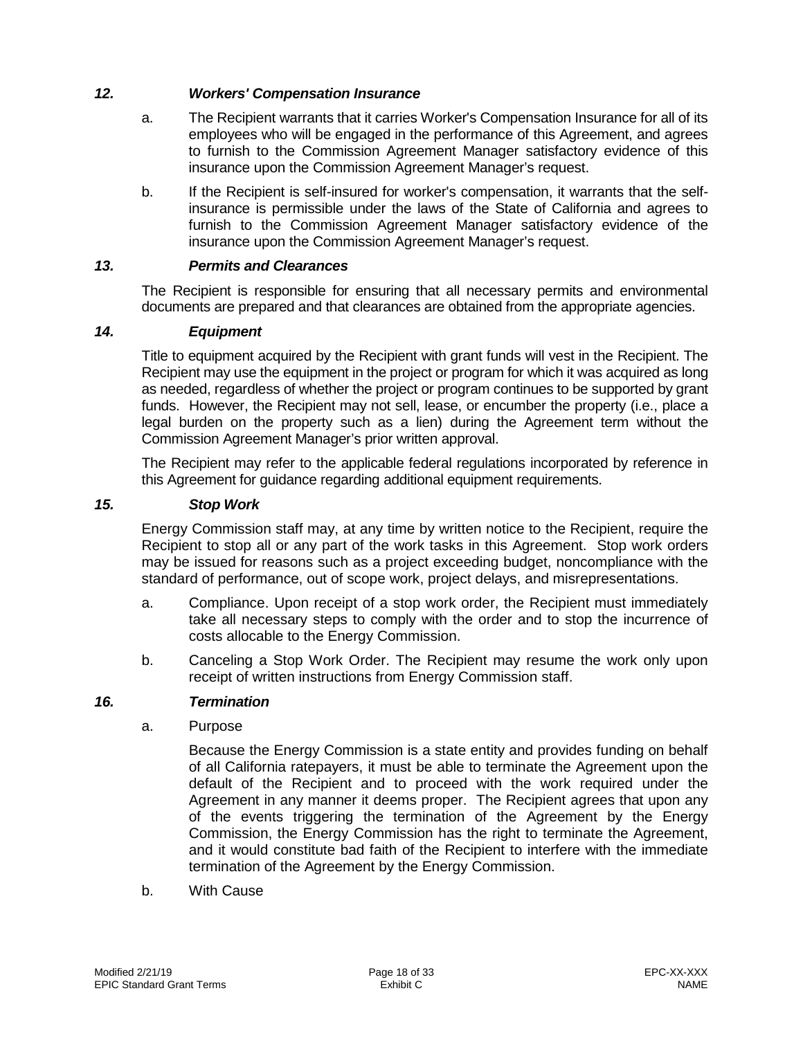### *12. Workers' Compensation Insurance*

- <span id="page-17-0"></span>a. The Recipient warrants that it carries Worker's Compensation Insurance for all of its employees who will be engaged in the performance of this Agreement, and agrees to furnish to the Commission Agreement Manager satisfactory evidence of this insurance upon the Commission Agreement Manager's request.
- b. If the Recipient is self-insured for worker's compensation, it warrants that the selfinsurance is permissible under the laws of the State of California and agrees to furnish to the Commission Agreement Manager satisfactory evidence of the insurance upon the Commission Agreement Manager's request.

#### *13. Permits and Clearances*

<span id="page-17-1"></span>The Recipient is responsible for ensuring that all necessary permits and environmental documents are prepared and that clearances are obtained from the appropriate agencies.

#### *14. Equipment*

<span id="page-17-2"></span>Title to equipment acquired by the Recipient with grant funds will vest in the Recipient. The Recipient may use the equipment in the project or program for which it was acquired as long as needed, regardless of whether the project or program continues to be supported by grant funds. However, the Recipient may not sell, lease, or encumber the property (i.e., place a legal burden on the property such as a lien) during the Agreement term without the Commission Agreement Manager's prior written approval.

The Recipient may refer to the applicable federal regulations incorporated by reference in this Agreement for guidance regarding additional equipment requirements.

#### *15. Stop Work*

<span id="page-17-3"></span>Energy Commission staff may, at any time by written notice to the Recipient, require the Recipient to stop all or any part of the work tasks in this Agreement. Stop work orders may be issued for reasons such as a project exceeding budget, noncompliance with the standard of performance, out of scope work, project delays, and misrepresentations.

- a. Compliance. Upon receipt of a stop work order, the Recipient must immediately take all necessary steps to comply with the order and to stop the incurrence of costs allocable to the Energy Commission.
- b. Canceling a Stop Work Order. The Recipient may resume the work only upon receipt of written instructions from Energy Commission staff.

#### *16. Termination*

a. Purpose

<span id="page-17-4"></span>Because the Energy Commission is a state entity and provides funding on behalf of all California ratepayers, it must be able to terminate the Agreement upon the default of the Recipient and to proceed with the work required under the Agreement in any manner it deems proper. The Recipient agrees that upon any of the events triggering the termination of the Agreement by the Energy Commission, the Energy Commission has the right to terminate the Agreement, and it would constitute bad faith of the Recipient to interfere with the immediate termination of the Agreement by the Energy Commission.

b. With Cause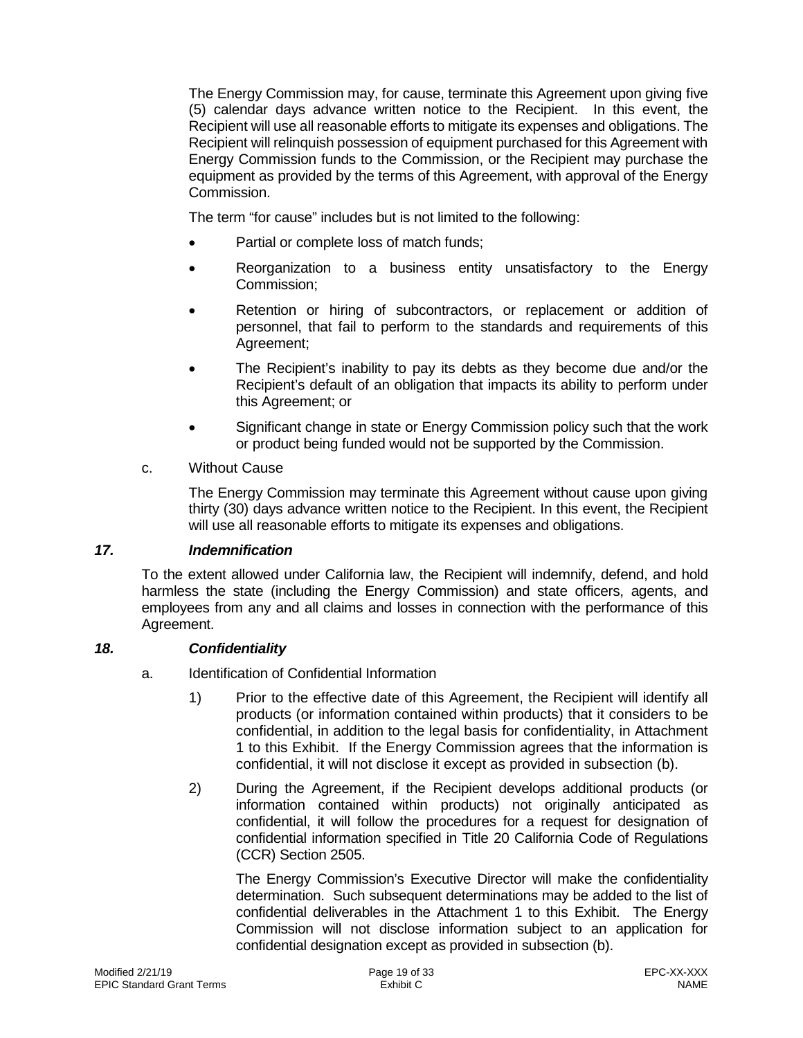The Energy Commission may, for cause, terminate this Agreement upon giving five (5) calendar days advance written notice to the Recipient. In this event, the Recipient will use all reasonable efforts to mitigate its expenses and obligations. The Recipient will relinquish possession of equipment purchased for this Agreement with Energy Commission funds to the Commission, or the Recipient may purchase the equipment as provided by the terms of this Agreement, with approval of the Energy Commission.

The term "for cause" includes but is not limited to the following:

- Partial or complete loss of match funds;
- Reorganization to a business entity unsatisfactory to the Energy Commission;
- Retention or hiring of subcontractors, or replacement or addition of personnel, that fail to perform to the standards and requirements of this Agreement;
- The Recipient's inability to pay its debts as they become due and/or the Recipient's default of an obligation that impacts its ability to perform under this Agreement; or
- Significant change in state or Energy Commission policy such that the work or product being funded would not be supported by the Commission.

## c. Without Cause

The Energy Commission may terminate this Agreement without cause upon giving thirty (30) days advance written notice to the Recipient. In this event, the Recipient will use all reasonable efforts to mitigate its expenses and obligations.

## *17. Indemnification*

<span id="page-18-0"></span>To the extent allowed under California law, the Recipient will indemnify, defend, and hold harmless the state (including the Energy Commission) and state officers, agents, and employees from any and all claims and losses in connection with the performance of this Agreement.

#### *18. Confidentiality*

- <span id="page-18-1"></span>a. Identification of Confidential Information
	- 1) Prior to the effective date of this Agreement, the Recipient will identify all products (or information contained within products) that it considers to be confidential, in addition to the legal basis for confidentiality, in Attachment 1 to this Exhibit. If the Energy Commission agrees that the information is confidential, it will not disclose it except as provided in subsection (b).
	- 2) During the Agreement, if the Recipient develops additional products (or information contained within products) not originally anticipated as confidential, it will follow the procedures for a request for designation of confidential information specified in Title 20 California Code of Regulations (CCR) Section 2505.

The Energy Commission's Executive Director will make the confidentiality determination. Such subsequent determinations may be added to the list of confidential deliverables in the Attachment 1 to this Exhibit. The Energy Commission will not disclose information subject to an application for confidential designation except as provided in subsection (b).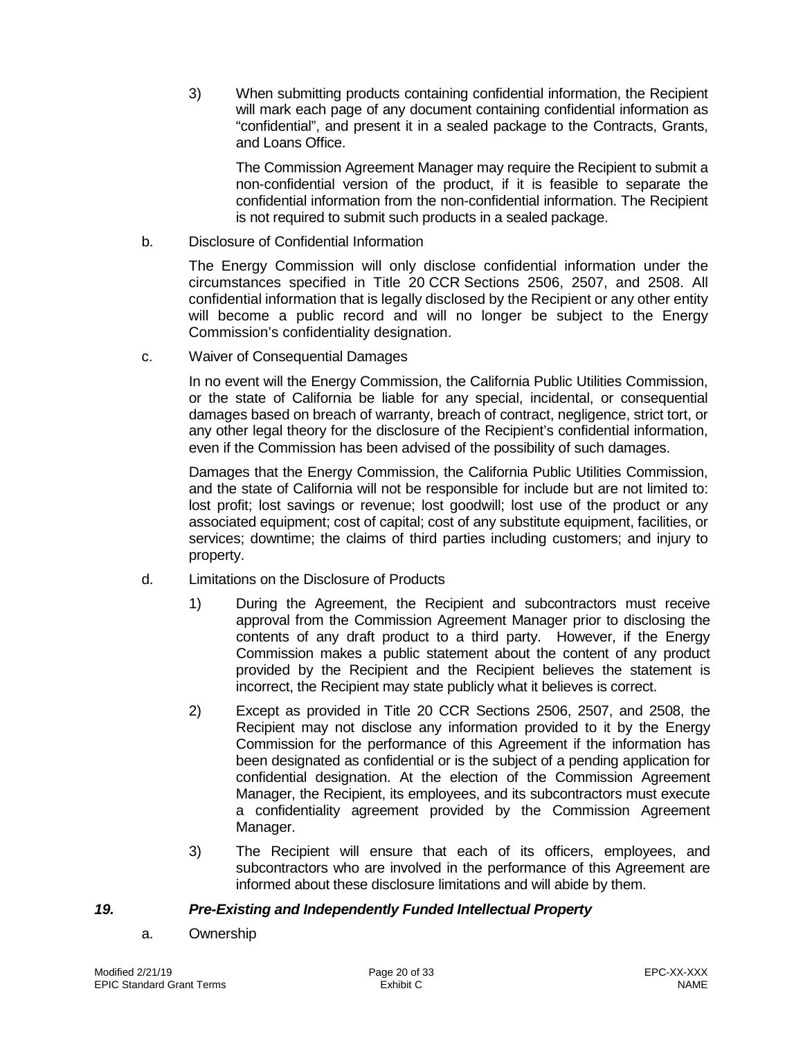3) When submitting products containing confidential information, the Recipient will mark each page of any document containing confidential information as "confidential", and present it in a sealed package to the Contracts, Grants, and Loans Office.

The Commission Agreement Manager may require the Recipient to submit a non-confidential version of the product, if it is feasible to separate the confidential information from the non-confidential information. The Recipient is not required to submit such products in a sealed package.

b. Disclosure of Confidential Information

The Energy Commission will only disclose confidential information under the circumstances specified in Title 20 CCR Sections 2506, 2507, and 2508. All confidential information that is legally disclosed by the Recipient or any other entity will become a public record and will no longer be subject to the Energy Commission's confidentiality designation.

c. Waiver of Consequential Damages

In no event will the Energy Commission, the California Public Utilities Commission, or the state of California be liable for any special, incidental, or consequential damages based on breach of warranty, breach of contract, negligence, strict tort, or any other legal theory for the disclosure of the Recipient's confidential information, even if the Commission has been advised of the possibility of such damages.

Damages that the Energy Commission, the California Public Utilities Commission, and the state of California will not be responsible for include but are not limited to: lost profit; lost savings or revenue; lost goodwill; lost use of the product or any associated equipment; cost of capital; cost of any substitute equipment, facilities, or services; downtime; the claims of third parties including customers; and injury to property.

- d. Limitations on the Disclosure of Products
	- 1) During the Agreement, the Recipient and subcontractors must receive approval from the Commission Agreement Manager prior to disclosing the contents of any draft product to a third party. However, if the Energy Commission makes a public statement about the content of any product provided by the Recipient and the Recipient believes the statement is incorrect, the Recipient may state publicly what it believes is correct.
	- 2) Except as provided in Title 20 CCR Sections 2506, 2507, and 2508, the Recipient may not disclose any information provided to it by the Energy Commission for the performance of this Agreement if the information has been designated as confidential or is the subject of a pending application for confidential designation. At the election of the Commission Agreement Manager, the Recipient, its employees, and its subcontractors must execute a confidentiality agreement provided by the Commission Agreement Manager.
	- 3) The Recipient will ensure that each of its officers, employees, and subcontractors who are involved in the performance of this Agreement are informed about these disclosure limitations and will abide by them.

### *19. Pre-Existing and Independently Funded Intellectual Property*

<span id="page-19-0"></span>a. Ownership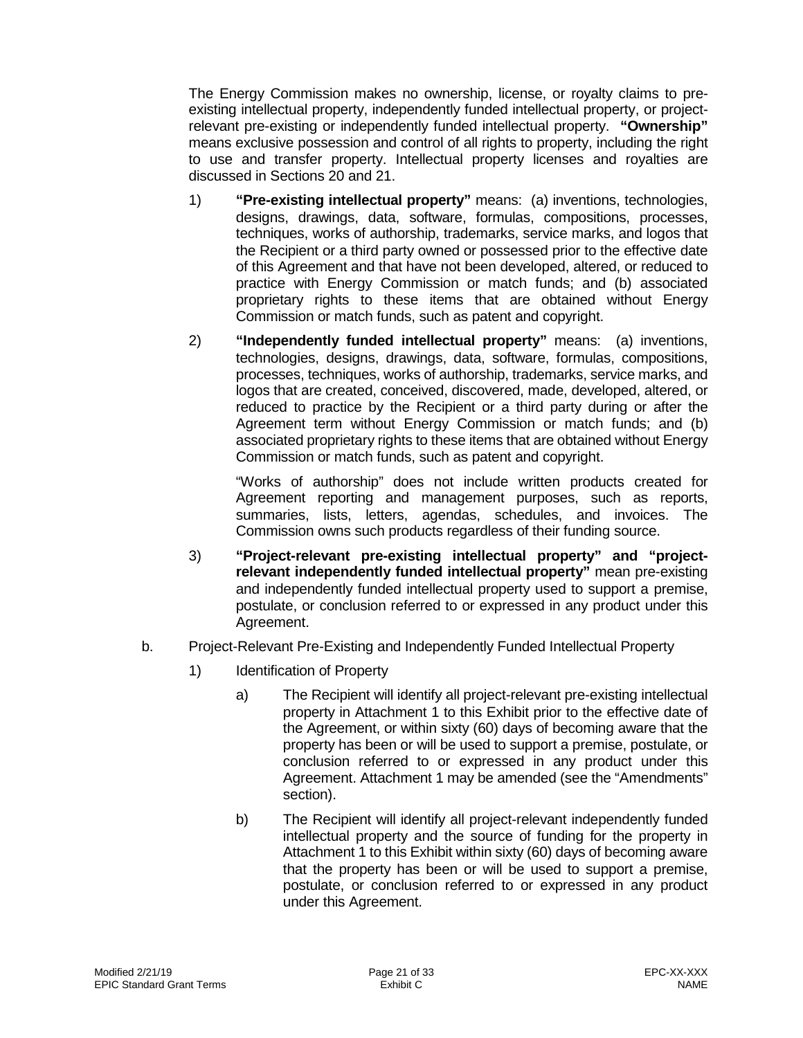The Energy Commission makes no ownership, license, or royalty claims to preexisting intellectual property, independently funded intellectual property, or projectrelevant pre-existing or independently funded intellectual property. **"Ownership"**  means exclusive possession and control of all rights to property, including the right to use and transfer property. Intellectual property licenses and royalties are discussed in Sections 20 and 21.

- 1) **"Pre-existing intellectual property"** means: (a) inventions, technologies, designs, drawings, data, software, formulas, compositions, processes, techniques, works of authorship, trademarks, service marks, and logos that the Recipient or a third party owned or possessed prior to the effective date of this Agreement and that have not been developed, altered, or reduced to practice with Energy Commission or match funds; and (b) associated proprietary rights to these items that are obtained without Energy Commission or match funds, such as patent and copyright.
- 2) **"Independently funded intellectual property"** means: (a) inventions, technologies, designs, drawings, data, software, formulas, compositions, processes, techniques, works of authorship, trademarks, service marks, and logos that are created, conceived, discovered, made, developed, altered, or reduced to practice by the Recipient or a third party during or after the Agreement term without Energy Commission or match funds; and (b) associated proprietary rights to these items that are obtained without Energy Commission or match funds, such as patent and copyright.

"Works of authorship" does not include written products created for Agreement reporting and management purposes, such as reports, summaries, lists, letters, agendas, schedules, and invoices. The Commission owns such products regardless of their funding source.

- 3) **"Project-relevant pre-existing intellectual property" and "projectrelevant independently funded intellectual property"** mean pre-existing and independently funded intellectual property used to support a premise, postulate, or conclusion referred to or expressed in any product under this Agreement.
- b. Project-Relevant Pre-Existing and Independently Funded Intellectual Property
	- 1) Identification of Property
		- a) The Recipient will identify all project-relevant pre-existing intellectual property in Attachment 1 to this Exhibit prior to the effective date of the Agreement, or within sixty (60) days of becoming aware that the property has been or will be used to support a premise, postulate, or conclusion referred to or expressed in any product under this Agreement. Attachment 1 may be amended (see the "Amendments" section).
		- b) The Recipient will identify all project-relevant independently funded intellectual property and the source of funding for the property in Attachment 1 to this Exhibit within sixty (60) days of becoming aware that the property has been or will be used to support a premise, postulate, or conclusion referred to or expressed in any product under this Agreement.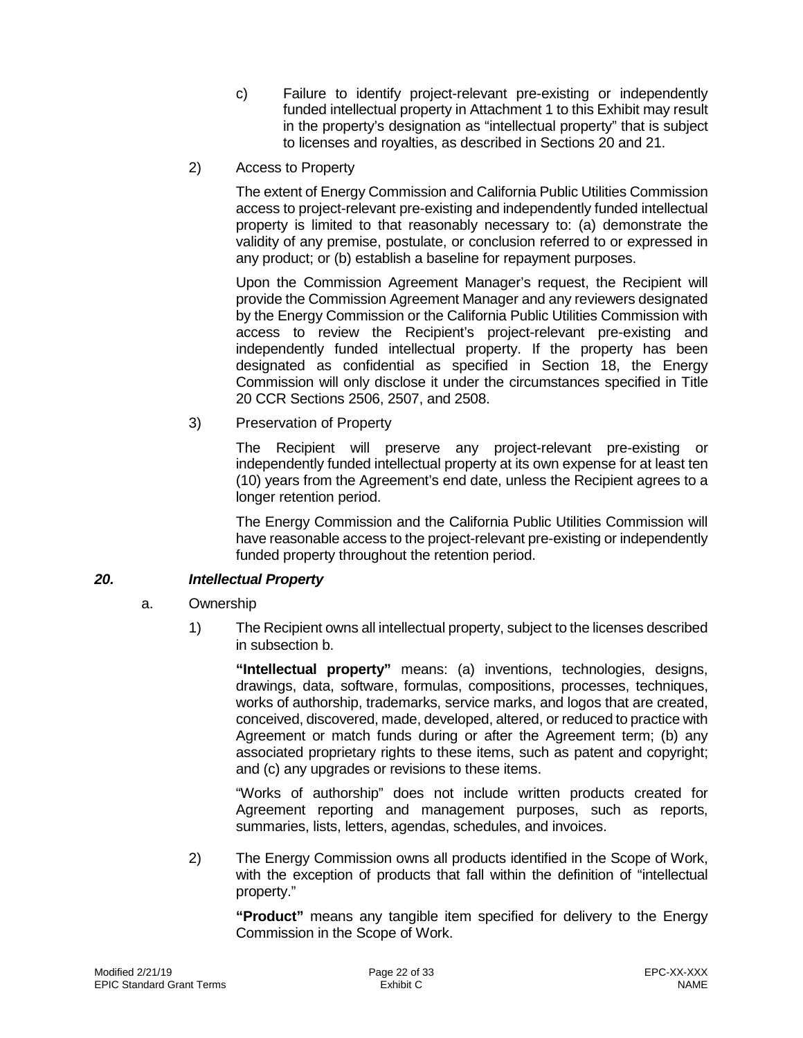- c) Failure to identify project-relevant pre-existing or independently funded intellectual property in Attachment 1 to this Exhibit may result in the property's designation as "intellectual property" that is subject to licenses and royalties, as described in Sections 20 and 21.
- 2) Access to Property

The extent of Energy Commission and California Public Utilities Commission access to project-relevant pre-existing and independently funded intellectual property is limited to that reasonably necessary to: (a) demonstrate the validity of any premise, postulate, or conclusion referred to or expressed in any product; or (b) establish a baseline for repayment purposes.

Upon the Commission Agreement Manager's request, the Recipient will provide the Commission Agreement Manager and any reviewers designated by the Energy Commission or the California Public Utilities Commission with access to review the Recipient's project-relevant pre-existing and independently funded intellectual property. If the property has been designated as confidential as specified in Section 18, the Energy Commission will only disclose it under the circumstances specified in Title 20 CCR Sections 2506, 2507, and 2508.

3) Preservation of Property

The Recipient will preserve any project-relevant pre-existing or independently funded intellectual property at its own expense for at least ten (10) years from the Agreement's end date, unless the Recipient agrees to a longer retention period.

The Energy Commission and the California Public Utilities Commission will have reasonable access to the project-relevant pre-existing or independently funded property throughout the retention period.

## *20. Intellectual Property*

- <span id="page-21-0"></span>a. Ownership
	- 1) The Recipient owns all intellectual property, subject to the licenses described in subsection b.

**"Intellectual property"** means: (a) inventions, technologies, designs, drawings, data, software, formulas, compositions, processes, techniques, works of authorship, trademarks, service marks, and logos that are created, conceived, discovered, made, developed, altered, or reduced to practice with Agreement or match funds during or after the Agreement term; (b) any associated proprietary rights to these items, such as patent and copyright; and (c) any upgrades or revisions to these items.

"Works of authorship" does not include written products created for Agreement reporting and management purposes, such as reports, summaries, lists, letters, agendas, schedules, and invoices.

2) The Energy Commission owns all products identified in the Scope of Work, with the exception of products that fall within the definition of "intellectual property."

**"Product"** means any tangible item specified for delivery to the Energy Commission in the Scope of Work.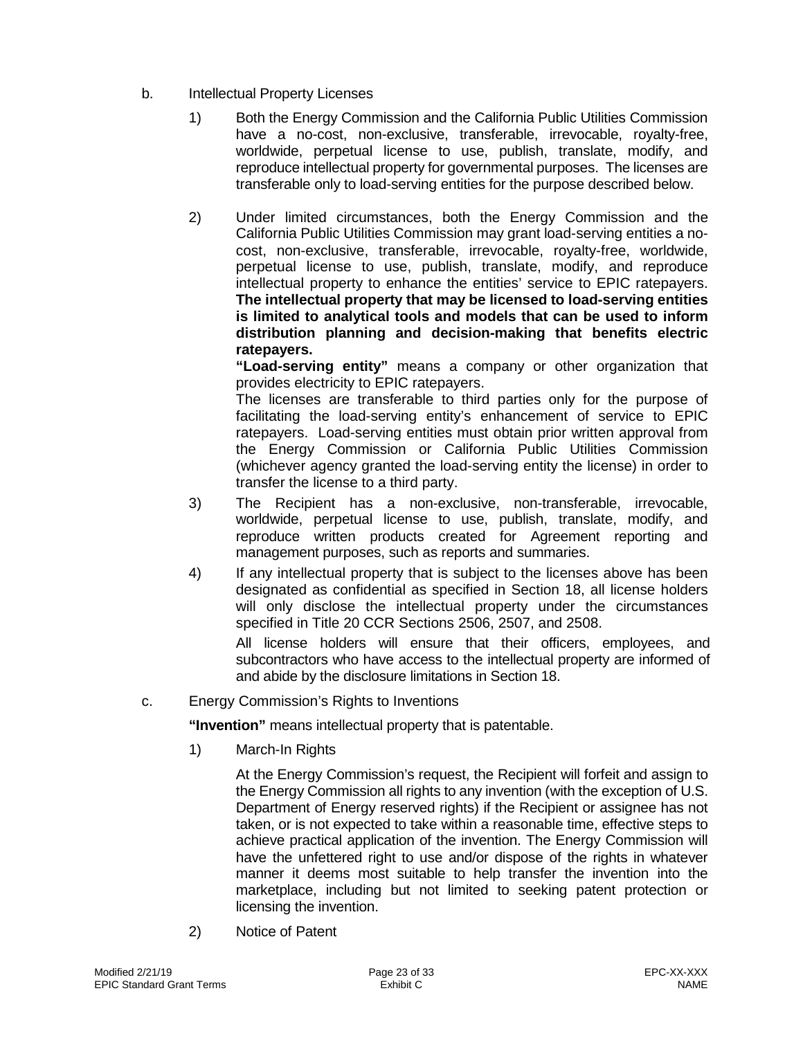- b. Intellectual Property Licenses
	- 1) Both the Energy Commission and the California Public Utilities Commission have a no-cost, non-exclusive, transferable, irrevocable, royalty-free, worldwide, perpetual license to use, publish, translate, modify, and reproduce intellectual property for governmental purposes. The licenses are transferable only to load-serving entities for the purpose described below.
	- 2) Under limited circumstances, both the Energy Commission and the California Public Utilities Commission may grant load-serving entities a nocost, non-exclusive, transferable, irrevocable, royalty-free, worldwide, perpetual license to use, publish, translate, modify, and reproduce intellectual property to enhance the entities' service to EPIC ratepayers. **The intellectual property that may be licensed to load-serving entities is limited to analytical tools and models that can be used to inform distribution planning and decision-making that benefits electric ratepayers.**

**"Load-serving entity"** means a company or other organization that provides electricity to EPIC ratepayers.

The licenses are transferable to third parties only for the purpose of facilitating the load-serving entity's enhancement of service to EPIC ratepayers. Load-serving entities must obtain prior written approval from the Energy Commission or California Public Utilities Commission (whichever agency granted the load-serving entity the license) in order to transfer the license to a third party.

- 3) The Recipient has a non-exclusive, non-transferable, irrevocable, worldwide, perpetual license to use, publish, translate, modify, and reproduce written products created for Agreement reporting and management purposes, such as reports and summaries.
- 4) If any intellectual property that is subject to the licenses above has been designated as confidential as specified in Section 18, all license holders will only disclose the intellectual property under the circumstances specified in Title 20 CCR Sections 2506, 2507, and 2508.

All license holders will ensure that their officers, employees, and subcontractors who have access to the intellectual property are informed of and abide by the disclosure limitations in Section 18.

c. Energy Commission's Rights to Inventions

**"Invention"** means intellectual property that is patentable.

1) March-In Rights

At the Energy Commission's request, the Recipient will forfeit and assign to the Energy Commission all rights to any invention (with the exception of U.S. Department of Energy reserved rights) if the Recipient or assignee has not taken, or is not expected to take within a reasonable time, effective steps to achieve practical application of the invention. The Energy Commission will have the unfettered right to use and/or dispose of the rights in whatever manner it deems most suitable to help transfer the invention into the marketplace, including but not limited to seeking patent protection or licensing the invention.

2) Notice of Patent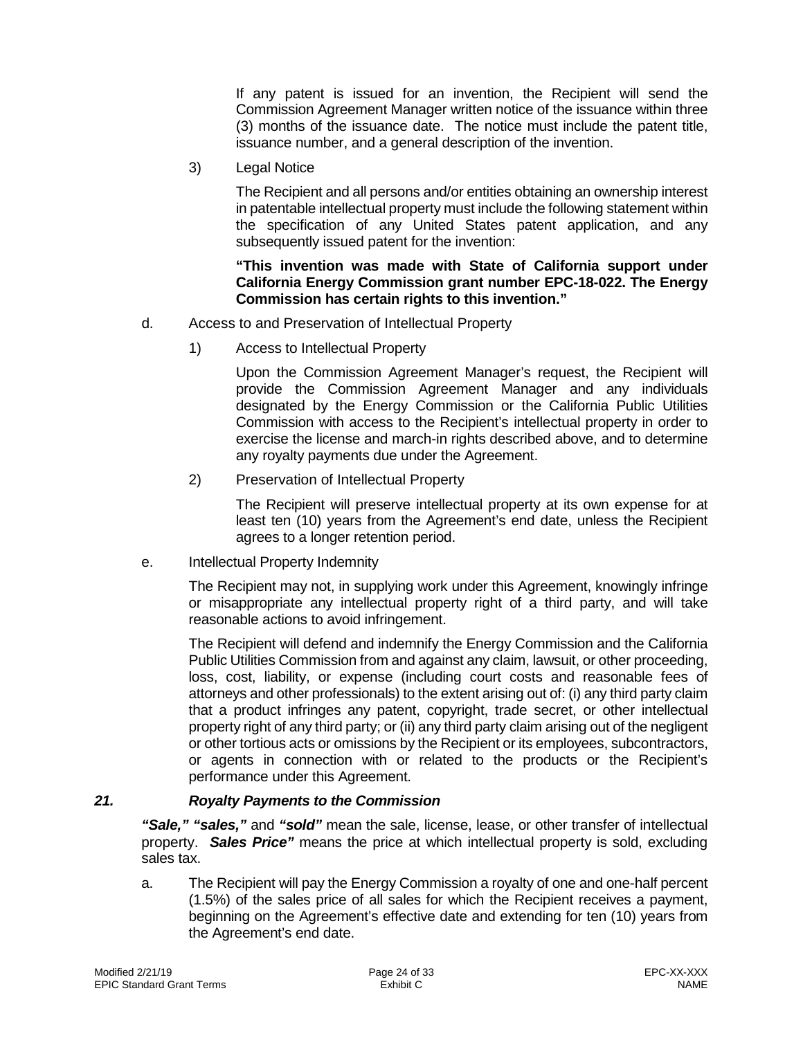If any patent is issued for an invention, the Recipient will send the Commission Agreement Manager written notice of the issuance within three (3) months of the issuance date. The notice must include the patent title, issuance number, and a general description of the invention.

3) Legal Notice

The Recipient and all persons and/or entities obtaining an ownership interest in patentable intellectual property must include the following statement within the specification of any United States patent application, and any subsequently issued patent for the invention:

#### **"This invention was made with State of California support under California Energy Commission grant number EPC-18-022. The Energy Commission has certain rights to this invention."**

- d. Access to and Preservation of Intellectual Property
	- 1) Access to Intellectual Property

Upon the Commission Agreement Manager's request, the Recipient will provide the Commission Agreement Manager and any individuals designated by the Energy Commission or the California Public Utilities Commission with access to the Recipient's intellectual property in order to exercise the license and march-in rights described above, and to determine any royalty payments due under the Agreement.

2) Preservation of Intellectual Property

The Recipient will preserve intellectual property at its own expense for at least ten (10) years from the Agreement's end date, unless the Recipient agrees to a longer retention period.

e. Intellectual Property Indemnity

The Recipient may not, in supplying work under this Agreement, knowingly infringe or misappropriate any intellectual property right of a third party, and will take reasonable actions to avoid infringement.

The Recipient will defend and indemnify the Energy Commission and the California Public Utilities Commission from and against any claim, lawsuit, or other proceeding, loss, cost, liability, or expense (including court costs and reasonable fees of attorneys and other professionals) to the extent arising out of: (i) any third party claim that a product infringes any patent, copyright, trade secret, or other intellectual property right of any third party; or (ii) any third party claim arising out of the negligent or other tortious acts or omissions by the Recipient or its employees, subcontractors, or agents in connection with or related to the products or the Recipient's performance under this Agreement.

## *21. Royalty Payments to the Commission*

<span id="page-23-0"></span>*"Sale," "sales,"* and *"sold"* mean the sale, license, lease, or other transfer of intellectual property. *Sales Price"* means the price at which intellectual property is sold, excluding sales tax.

a. The Recipient will pay the Energy Commission a royalty of one and one-half percent (1.5%) of the sales price of all sales for which the Recipient receives a payment, beginning on the Agreement's effective date and extending for ten (10) years from the Agreement's end date.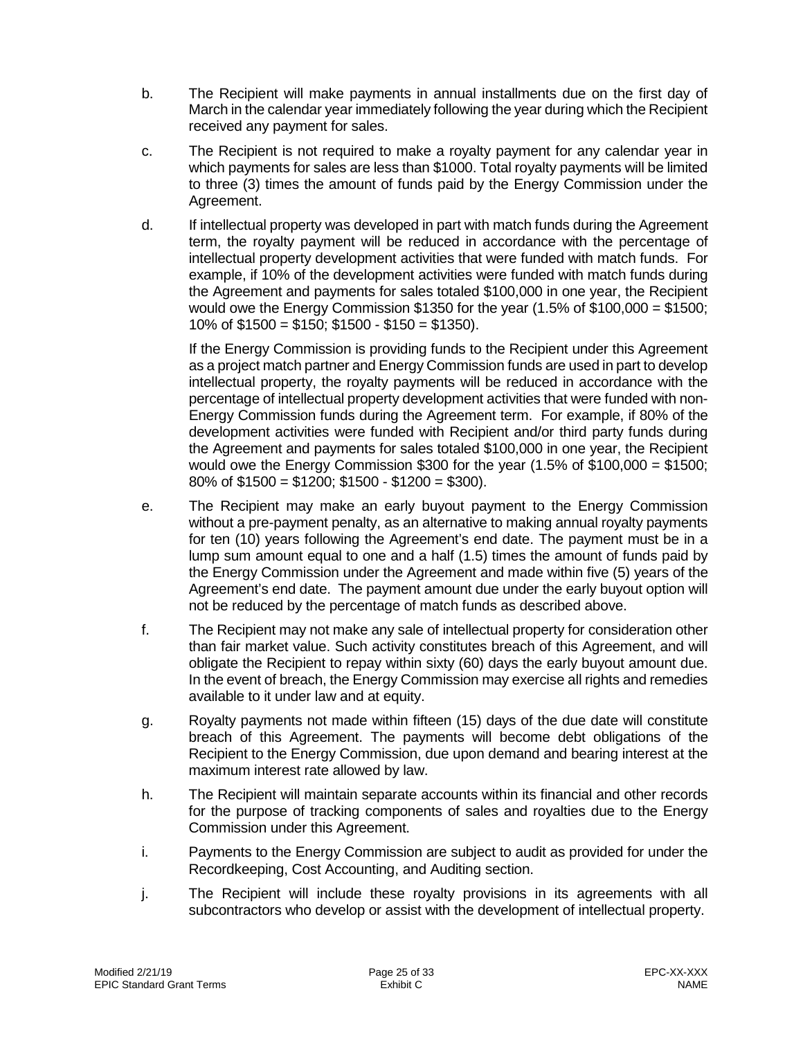- b. The Recipient will make payments in annual installments due on the first day of March in the calendar year immediately following the year during which the Recipient received any payment for sales.
- c. The Recipient is not required to make a royalty payment for any calendar year in which payments for sales are less than \$1000. Total royalty payments will be limited to three (3) times the amount of funds paid by the Energy Commission under the Agreement.
- d. If intellectual property was developed in part with match funds during the Agreement term, the royalty payment will be reduced in accordance with the percentage of intellectual property development activities that were funded with match funds. For example, if 10% of the development activities were funded with match funds during the Agreement and payments for sales totaled \$100,000 in one year, the Recipient would owe the Energy Commission \$1350 for the year (1.5% of \$100,000 = \$1500; 10% of  $$1500 = $150$ ;  $$1500 - $150 = $1350$ ).

If the Energy Commission is providing funds to the Recipient under this Agreement as a project match partner and Energy Commission funds are used in part to develop intellectual property, the royalty payments will be reduced in accordance with the percentage of intellectual property development activities that were funded with non-Energy Commission funds during the Agreement term. For example, if 80% of the development activities were funded with Recipient and/or third party funds during the Agreement and payments for sales totaled \$100,000 in one year, the Recipient would owe the Energy Commission \$300 for the year (1.5% of \$100,000 = \$1500; 80% of  $$1500 = $1200$ ;  $$1500 - $1200 = $300$ .

- e. The Recipient may make an early buyout payment to the Energy Commission without a pre-payment penalty, as an alternative to making annual royalty payments for ten (10) years following the Agreement's end date. The payment must be in a lump sum amount equal to one and a half (1.5) times the amount of funds paid by the Energy Commission under the Agreement and made within five (5) years of the Agreement's end date. The payment amount due under the early buyout option will not be reduced by the percentage of match funds as described above.
- f. The Recipient may not make any sale of intellectual property for consideration other than fair market value. Such activity constitutes breach of this Agreement, and will obligate the Recipient to repay within sixty (60) days the early buyout amount due. In the event of breach, the Energy Commission may exercise all rights and remedies available to it under law and at equity.
- g. Royalty payments not made within fifteen (15) days of the due date will constitute breach of this Agreement. The payments will become debt obligations of the Recipient to the Energy Commission, due upon demand and bearing interest at the maximum interest rate allowed by law.
- h. The Recipient will maintain separate accounts within its financial and other records for the purpose of tracking components of sales and royalties due to the Energy Commission under this Agreement.
- i. Payments to the Energy Commission are subject to audit as provided for under the Recordkeeping, Cost Accounting, and Auditing section.
- j. The Recipient will include these royalty provisions in its agreements with all subcontractors who develop or assist with the development of intellectual property.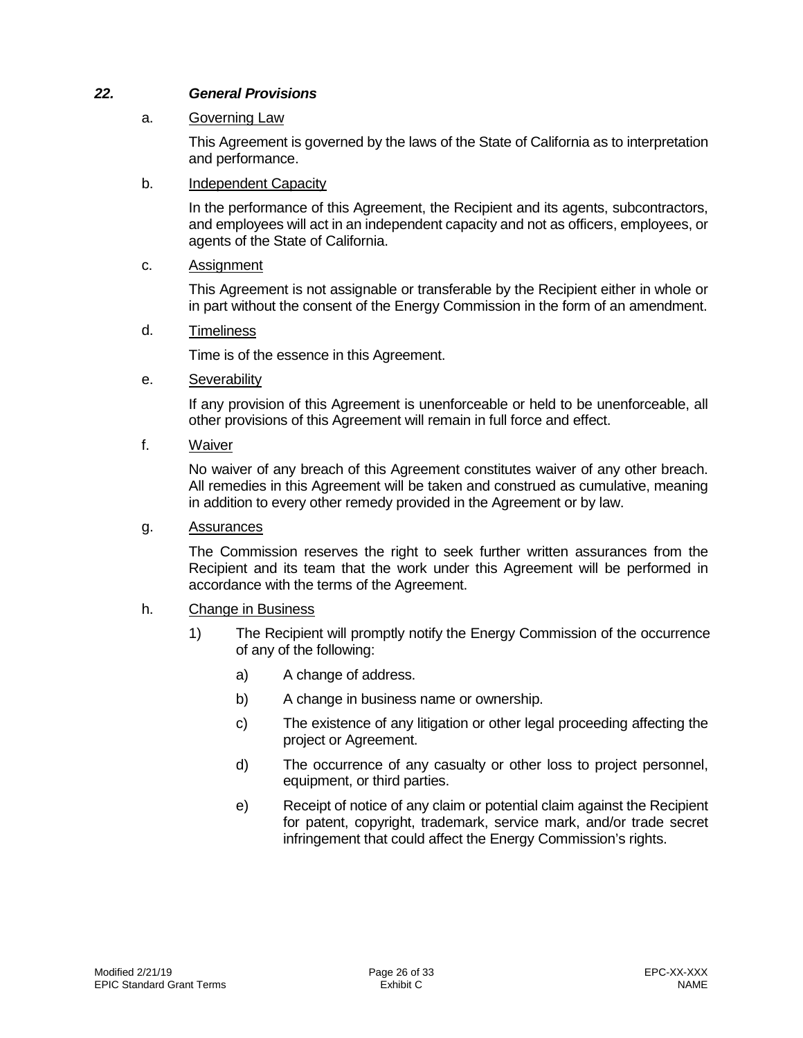## *22. General Provisions*

### a. Governing Law

<span id="page-25-0"></span>This Agreement is governed by the laws of the State of California as to interpretation and performance.

### b. Independent Capacity

In the performance of this Agreement, the Recipient and its agents, subcontractors, and employees will act in an independent capacity and not as officers, employees, or agents of the State of California.

### c. Assignment

This Agreement is not assignable or transferable by the Recipient either in whole or in part without the consent of the Energy Commission in the form of an amendment.

#### d. Timeliness

Time is of the essence in this Agreement.

e. Severability

If any provision of this Agreement is unenforceable or held to be unenforceable, all other provisions of this Agreement will remain in full force and effect.

f. Waiver

No waiver of any breach of this Agreement constitutes waiver of any other breach. All remedies in this Agreement will be taken and construed as cumulative, meaning in addition to every other remedy provided in the Agreement or by law.

#### g. Assurances

The Commission reserves the right to seek further written assurances from the Recipient and its team that the work under this Agreement will be performed in accordance with the terms of the Agreement.

## h. Change in Business

- 1) The Recipient will promptly notify the Energy Commission of the occurrence of any of the following:
	- a) A change of address.
	- b) A change in business name or ownership.
	- c) The existence of any litigation or other legal proceeding affecting the project or Agreement.
	- d) The occurrence of any casualty or other loss to project personnel, equipment, or third parties.
	- e) Receipt of notice of any claim or potential claim against the Recipient for patent, copyright, trademark, service mark, and/or trade secret infringement that could affect the Energy Commission's rights.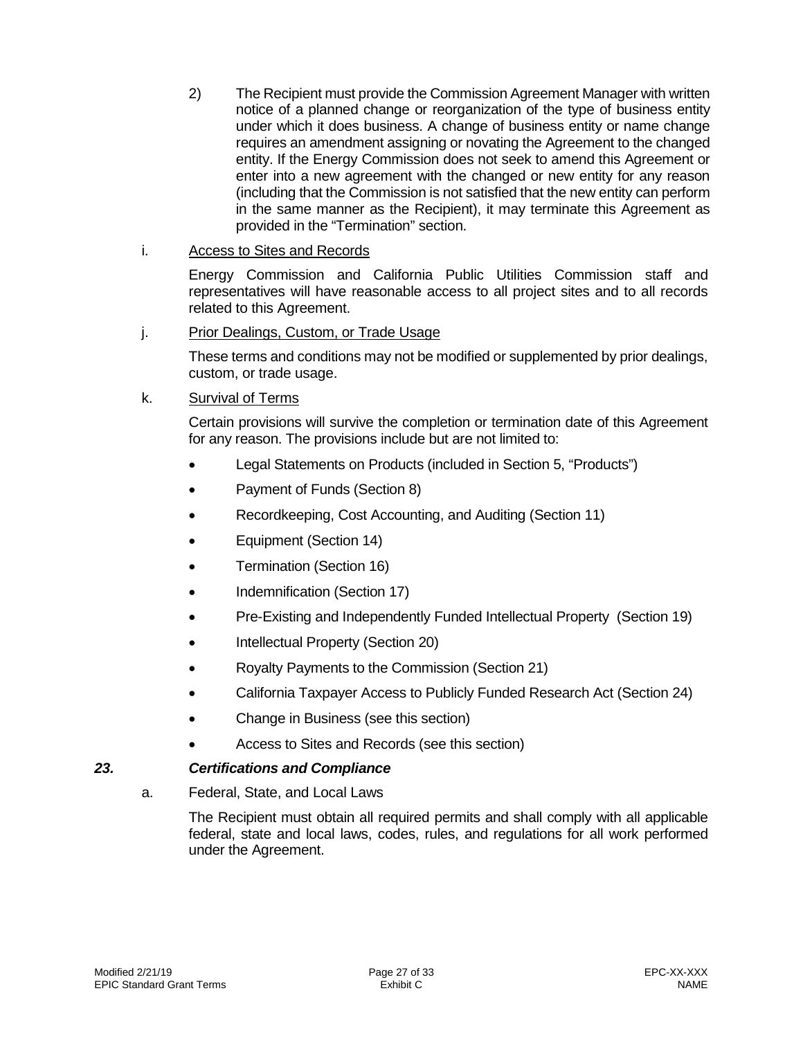2) The Recipient must provide the Commission Agreement Manager with written notice of a planned change or reorganization of the type of business entity under which it does business. A change of business entity or name change requires an amendment assigning or novating the Agreement to the changed entity. If the Energy Commission does not seek to amend this Agreement or enter into a new agreement with the changed or new entity for any reason (including that the Commission is not satisfied that the new entity can perform in the same manner as the Recipient), it may terminate this Agreement as provided in the "Termination" section.

## i. Access to Sites and Records

Energy Commission and California Public Utilities Commission staff and representatives will have reasonable access to all project sites and to all records related to this Agreement.

#### j. Prior Dealings, Custom, or Trade Usage

These terms and conditions may not be modified or supplemented by prior dealings, custom, or trade usage.

#### k. Survival of Terms

Certain provisions will survive the completion or termination date of this Agreement for any reason. The provisions include but are not limited to:

- Legal Statements on Products (included in Section 5, "Products")
- Payment of Funds (Section 8)
- Recordkeeping, Cost Accounting, and Auditing (Section 11)
- Equipment (Section 14)
- Termination (Section 16)
- Indemnification (Section 17)
- Pre-Existing and Independently Funded Intellectual Property (Section 19)
- Intellectual Property (Section 20)
- Royalty Payments to the Commission (Section 21)
- California Taxpayer Access to Publicly Funded Research Act (Section 24)
- Change in Business (see this section)
- <span id="page-26-0"></span>• Access to Sites and Records (see this section)

## *23. Certifications and Compliance*

a. Federal, State, and Local Laws

The Recipient must obtain all required permits and shall comply with all applicable federal, state and local laws, codes, rules, and regulations for all work performed under the Agreement.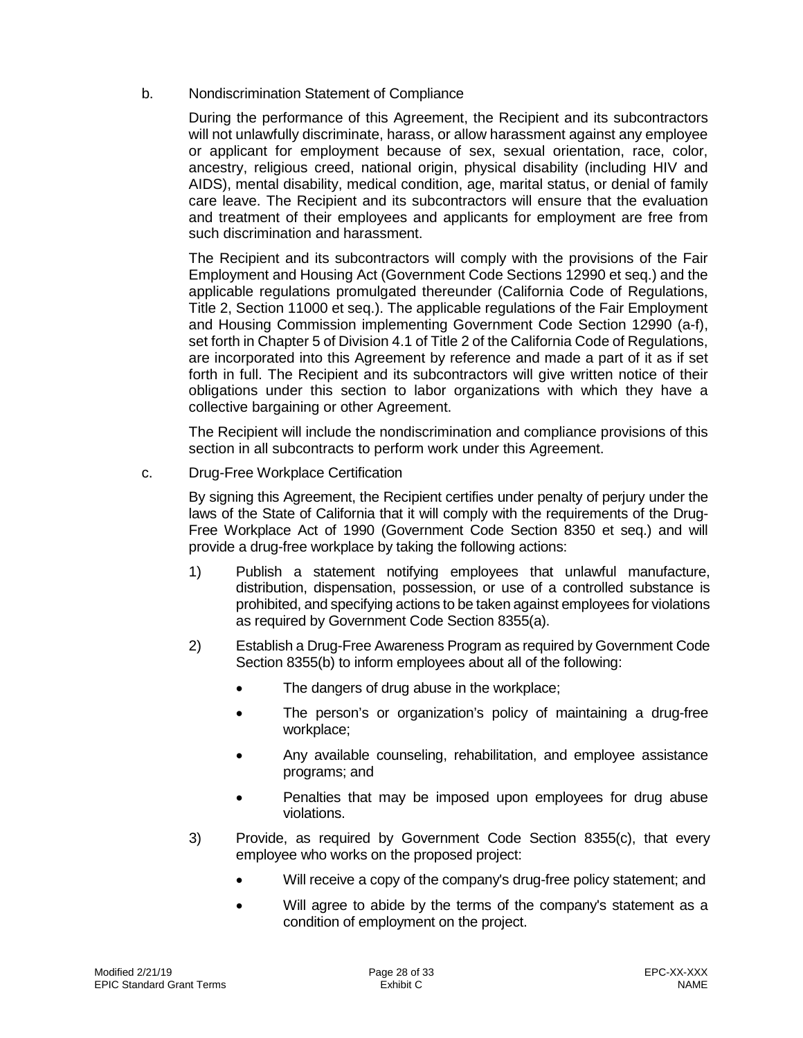b. Nondiscrimination Statement of Compliance

During the performance of this Agreement, the Recipient and its subcontractors will not unlawfully discriminate, harass, or allow harassment against any employee or applicant for employment because of sex, sexual orientation, race, color, ancestry, religious creed, national origin, physical disability (including HIV and AIDS), mental disability, medical condition, age, marital status, or denial of family care leave. The Recipient and its subcontractors will ensure that the evaluation and treatment of their employees and applicants for employment are free from such discrimination and harassment.

The Recipient and its subcontractors will comply with the provisions of the Fair Employment and Housing Act (Government Code Sections 12990 et seq.) and the applicable regulations promulgated thereunder (California Code of Regulations, Title 2, Section 11000 et seq.). The applicable regulations of the Fair Employment and Housing Commission implementing Government Code Section 12990 (a-f), set forth in Chapter 5 of Division 4.1 of Title 2 of the California Code of Regulations, are incorporated into this Agreement by reference and made a part of it as if set forth in full. The Recipient and its subcontractors will give written notice of their obligations under this section to labor organizations with which they have a collective bargaining or other Agreement.

The Recipient will include the nondiscrimination and compliance provisions of this section in all subcontracts to perform work under this Agreement.

c. Drug-Free Workplace Certification

By signing this Agreement, the Recipient certifies under penalty of perjury under the laws of the State of California that it will comply with the requirements of the Drug-Free Workplace Act of 1990 (Government Code Section 8350 et seq.) and will provide a drug-free workplace by taking the following actions:

- 1) Publish a statement notifying employees that unlawful manufacture, distribution, dispensation, possession, or use of a controlled substance is prohibited, and specifying actions to be taken against employees for violations as required by Government Code Section 8355(a).
- 2) Establish a Drug-Free Awareness Program as required by Government Code Section 8355(b) to inform employees about all of the following:
	- The dangers of drug abuse in the workplace;
	- The person's or organization's policy of maintaining a drug-free workplace;
	- Any available counseling, rehabilitation, and employee assistance programs; and
	- Penalties that may be imposed upon employees for drug abuse violations.
- 3) Provide, as required by Government Code Section 8355(c), that every employee who works on the proposed project:
	- Will receive a copy of the company's drug-free policy statement; and
	- Will agree to abide by the terms of the company's statement as a condition of employment on the project.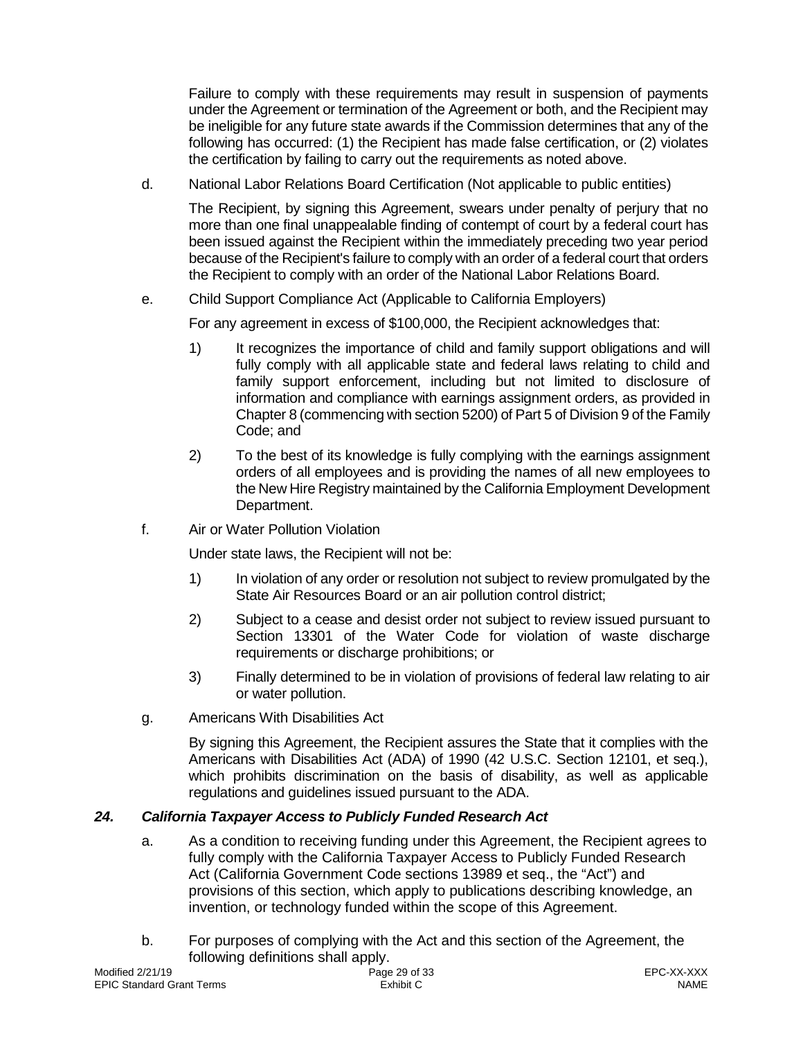Failure to comply with these requirements may result in suspension of payments under the Agreement or termination of the Agreement or both, and the Recipient may be ineligible for any future state awards if the Commission determines that any of the following has occurred: (1) the Recipient has made false certification, or (2) violates the certification by failing to carry out the requirements as noted above.

d. National Labor Relations Board Certification (Not applicable to public entities)

The Recipient, by signing this Agreement, swears under penalty of perjury that no more than one final unappealable finding of contempt of court by a federal court has been issued against the Recipient within the immediately preceding two year period because of the Recipient's failure to comply with an order of a federal court that orders the Recipient to comply with an order of the National Labor Relations Board.

e. Child Support Compliance Act (Applicable to California Employers)

For any agreement in excess of \$100,000, the Recipient acknowledges that:

- 1) It recognizes the importance of child and family support obligations and will fully comply with all applicable state and federal laws relating to child and family support enforcement, including but not limited to disclosure of information and compliance with earnings assignment orders, as provided in Chapter 8 (commencing with section 5200) of Part 5 of Division 9 of the Family Code; and
- 2) To the best of its knowledge is fully complying with the earnings assignment orders of all employees and is providing the names of all new employees to the New Hire Registry maintained by the California Employment Development Department.
- f. Air or Water Pollution Violation

Under state laws, the Recipient will not be:

- 1) In violation of any order or resolution not subject to review promulgated by the State Air Resources Board or an air pollution control district;
- 2) Subject to a cease and desist order not subject to review issued pursuant to Section 13301 of the Water Code for violation of waste discharge requirements or discharge prohibitions; or
- 3) Finally determined to be in violation of provisions of federal law relating to air or water pollution.
- g. Americans With Disabilities Act

By signing this Agreement, the Recipient assures the State that it complies with the Americans with Disabilities Act (ADA) of 1990 (42 U.S.C. Section 12101, et seq.), which prohibits discrimination on the basis of disability, as well as applicable regulations and guidelines issued pursuant to the ADA.

# *24. California Taxpayer Access to Publicly Funded Research Act*

- <span id="page-28-0"></span>a. As a condition to receiving funding under this Agreement, the Recipient agrees to fully comply with the California Taxpayer Access to Publicly Funded Research Act (California Government Code sections 13989 et seq., the "Act") and provisions of this section, which apply to publications describing knowledge, an invention, or technology funded within the scope of this Agreement.
- b. For purposes of complying with the Act and this section of the Agreement, the following definitions shall apply.<br>Page 29 of 33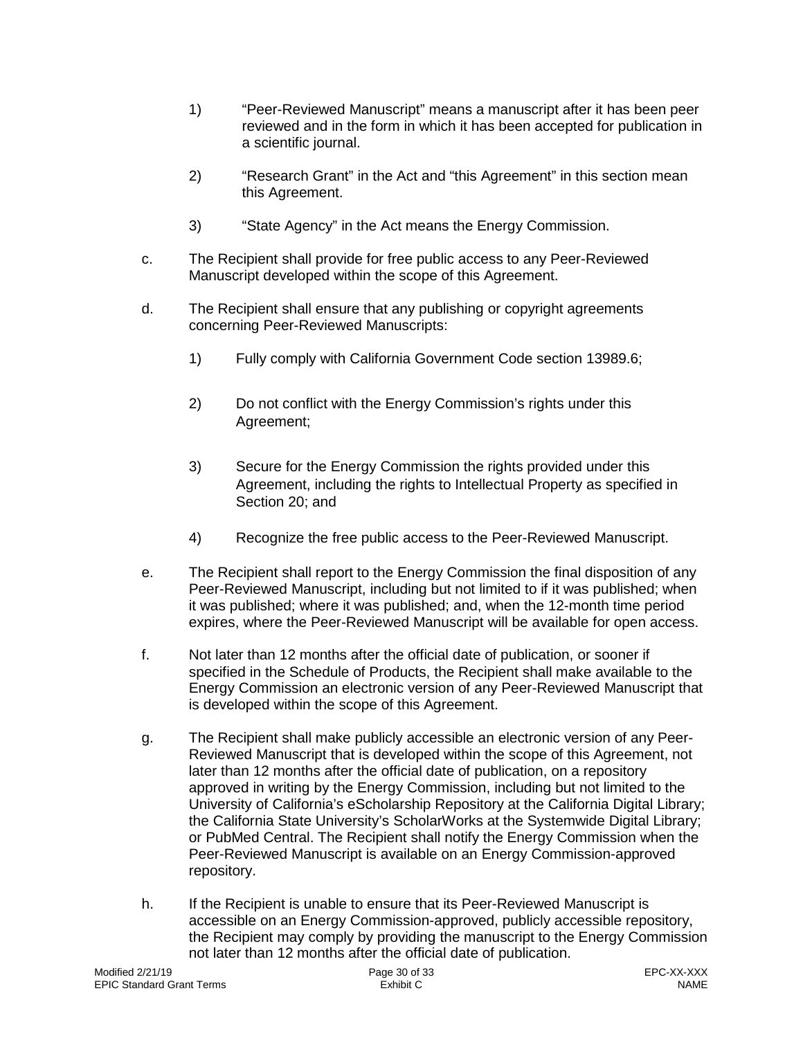- 1) "Peer-Reviewed Manuscript" means a manuscript after it has been peer reviewed and in the form in which it has been accepted for publication in a scientific journal.
- 2) "Research Grant" in the Act and "this Agreement" in this section mean this Agreement.
- 3) "State Agency" in the Act means the Energy Commission.
- c. The Recipient shall provide for free public access to any Peer-Reviewed Manuscript developed within the scope of this Agreement.
- d. The Recipient shall ensure that any publishing or copyright agreements concerning Peer-Reviewed Manuscripts:
	- 1) Fully comply with California Government Code section 13989.6;
	- 2) Do not conflict with the Energy Commission's rights under this Agreement;
	- 3) Secure for the Energy Commission the rights provided under this Agreement, including the rights to Intellectual Property as specified in Section 20; and
	- 4) Recognize the free public access to the Peer-Reviewed Manuscript.
- e. The Recipient shall report to the Energy Commission the final disposition of any Peer-Reviewed Manuscript, including but not limited to if it was published; when it was published; where it was published; and, when the 12-month time period expires, where the Peer-Reviewed Manuscript will be available for open access.
- f. Not later than 12 months after the official date of publication, or sooner if specified in the Schedule of Products, the Recipient shall make available to the Energy Commission an electronic version of any Peer-Reviewed Manuscript that is developed within the scope of this Agreement.
- g. The Recipient shall make publicly accessible an electronic version of any Peer-Reviewed Manuscript that is developed within the scope of this Agreement, not later than 12 months after the official date of publication, on a repository approved in writing by the Energy Commission, including but not limited to the University of California's eScholarship Repository at the California Digital Library; the California State University's ScholarWorks at the Systemwide Digital Library; or PubMed Central. The Recipient shall notify the Energy Commission when the Peer-Reviewed Manuscript is available on an Energy Commission-approved repository.
- h. If the Recipient is unable to ensure that its Peer-Reviewed Manuscript is accessible on an Energy Commission-approved, publicly accessible repository, the Recipient may comply by providing the manuscript to the Energy Commission not later than 12 months after the official date of publication.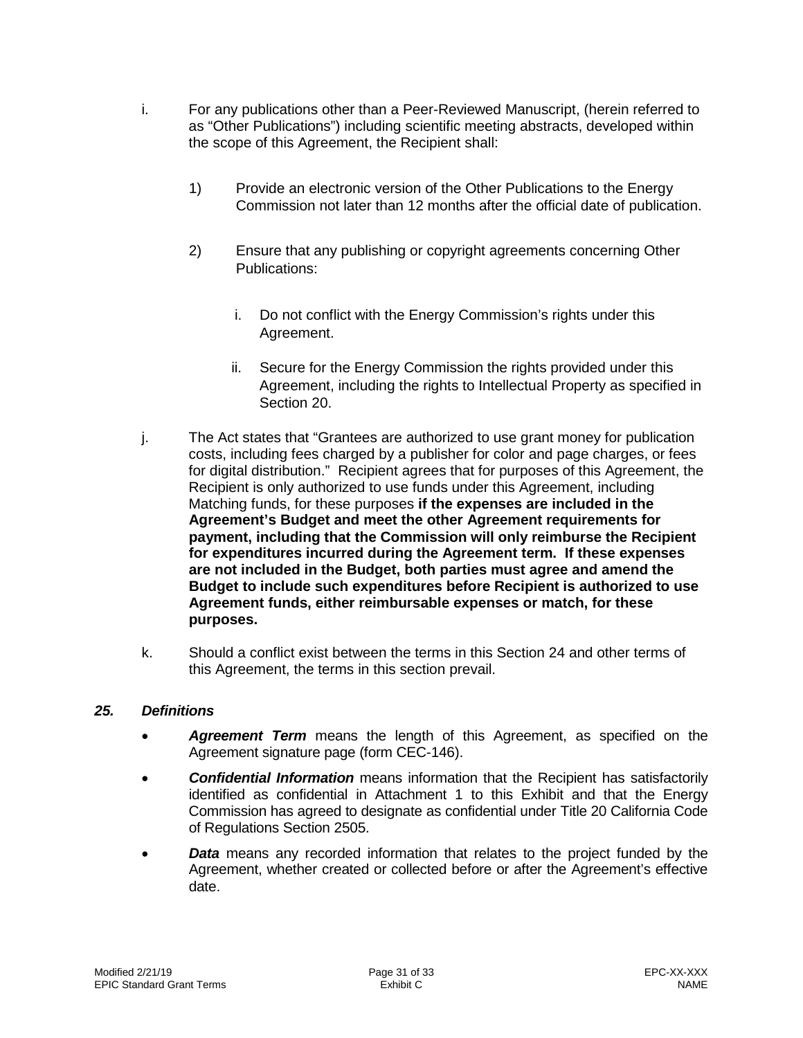- i. For any publications other than a Peer-Reviewed Manuscript, (herein referred to as "Other Publications") including scientific meeting abstracts, developed within the scope of this Agreement, the Recipient shall:
	- 1) Provide an electronic version of the Other Publications to the Energy Commission not later than 12 months after the official date of publication.
	- 2) Ensure that any publishing or copyright agreements concerning Other Publications:
		- i. Do not conflict with the Energy Commission's rights under this Agreement.
		- ii. Secure for the Energy Commission the rights provided under this Agreement, including the rights to Intellectual Property as specified in Section 20.
- j. The Act states that "Grantees are authorized to use grant money for publication costs, including fees charged by a publisher for color and page charges, or fees for digital distribution." Recipient agrees that for purposes of this Agreement, the Recipient is only authorized to use funds under this Agreement, including Matching funds, for these purposes **if the expenses are included in the Agreement's Budget and meet the other Agreement requirements for payment, including that the Commission will only reimburse the Recipient for expenditures incurred during the Agreement term. If these expenses are not included in the Budget, both parties must agree and amend the Budget to include such expenditures before Recipient is authorized to use Agreement funds, either reimbursable expenses or match, for these purposes.**
- k. Should a conflict exist between the terms in this Section 24 and other terms of this Agreement, the terms in this section prevail.

## *25. Definitions*

- <span id="page-30-0"></span>• *Agreement Term* means the length of this Agreement, as specified on the Agreement signature page (form CEC-146).
- *Confidential Information* means information that the Recipient has satisfactorily identified as confidential in Attachment 1 to this Exhibit and that the Energy Commission has agreed to designate as confidential under Title 20 California Code of Regulations Section 2505.
- *Data* means any recorded information that relates to the project funded by the Agreement, whether created or collected before or after the Agreement's effective date.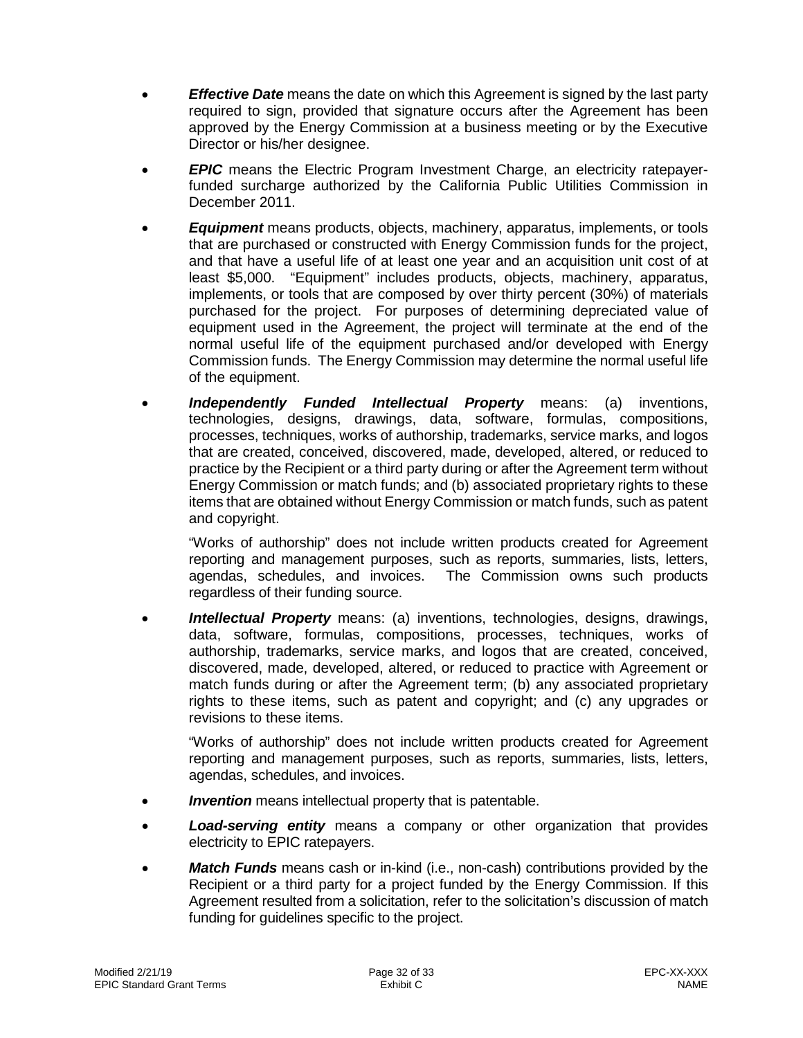- *Effective Date* means the date on which this Agreement is signed by the last party required to sign, provided that signature occurs after the Agreement has been approved by the Energy Commission at a business meeting or by the Executive Director or his/her designee.
- *EPIC* means the Electric Program Investment Charge, an electricity ratepayerfunded surcharge authorized by the California Public Utilities Commission in December 2011.
- *Equipment* means products, objects, machinery, apparatus, implements, or tools that are purchased or constructed with Energy Commission funds for the project, and that have a useful life of at least one year and an acquisition unit cost of at least \$5,000. "Equipment" includes products, objects, machinery, apparatus, implements, or tools that are composed by over thirty percent (30%) of materials purchased for the project. For purposes of determining depreciated value of equipment used in the Agreement, the project will terminate at the end of the normal useful life of the equipment purchased and/or developed with Energy Commission funds. The Energy Commission may determine the normal useful life of the equipment.
- *Independently Funded Intellectual Property* means: (a) inventions, technologies, designs, drawings, data, software, formulas, compositions, processes, techniques, works of authorship, trademarks, service marks, and logos that are created, conceived, discovered, made, developed, altered, or reduced to practice by the Recipient or a third party during or after the Agreement term without Energy Commission or match funds; and (b) associated proprietary rights to these items that are obtained without Energy Commission or match funds, such as patent and copyright.

"Works of authorship" does not include written products created for Agreement reporting and management purposes, such as reports, summaries, lists, letters, agendas, schedules, and invoices. The Commission owns such products regardless of their funding source.

• *Intellectual Property* means: (a) inventions, technologies, designs, drawings, data, software, formulas, compositions, processes, techniques, works of authorship, trademarks, service marks, and logos that are created, conceived, discovered, made, developed, altered, or reduced to practice with Agreement or match funds during or after the Agreement term; (b) any associated proprietary rights to these items, such as patent and copyright; and (c) any upgrades or revisions to these items.

"Works of authorship" does not include written products created for Agreement reporting and management purposes, such as reports, summaries, lists, letters, agendas, schedules, and invoices.

- *Invention* means intellectual property that is patentable.
- *Load-serving entity* means a company or other organization that provides electricity to EPIC ratepayers.
- *Match Funds* means cash or in-kind (i.e., non-cash) contributions provided by the Recipient or a third party for a project funded by the Energy Commission. If this Agreement resulted from a solicitation, refer to the solicitation's discussion of match funding for guidelines specific to the project.